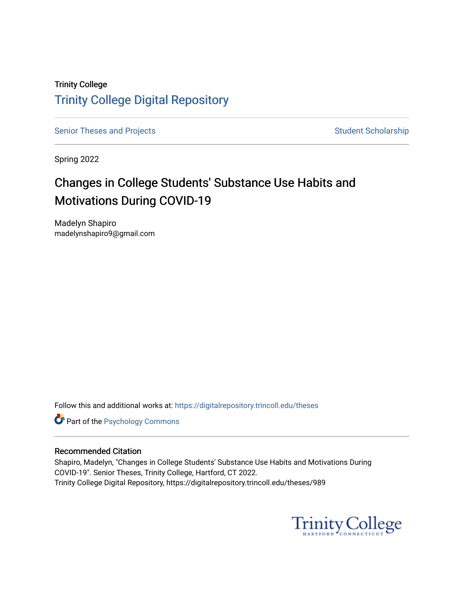# Trinity College [Trinity College Digital Repository](https://digitalrepository.trincoll.edu/)

[Senior Theses and Projects](https://digitalrepository.trincoll.edu/theses) Senior Theses and Projects Student Scholarship

Spring 2022

# Changes in College Students' Substance Use Habits and Motivations During COVID-19

Madelyn Shapiro madelynshapiro9@gmail.com

Follow this and additional works at: [https://digitalrepository.trincoll.edu/theses](https://digitalrepository.trincoll.edu/theses?utm_source=digitalrepository.trincoll.edu%2Ftheses%2F989&utm_medium=PDF&utm_campaign=PDFCoverPages)

**Part of the Psychology Commons** 

## Recommended Citation

Shapiro, Madelyn, "Changes in College Students' Substance Use Habits and Motivations During COVID-19". Senior Theses, Trinity College, Hartford, CT 2022. Trinity College Digital Repository, https://digitalrepository.trincoll.edu/theses/989

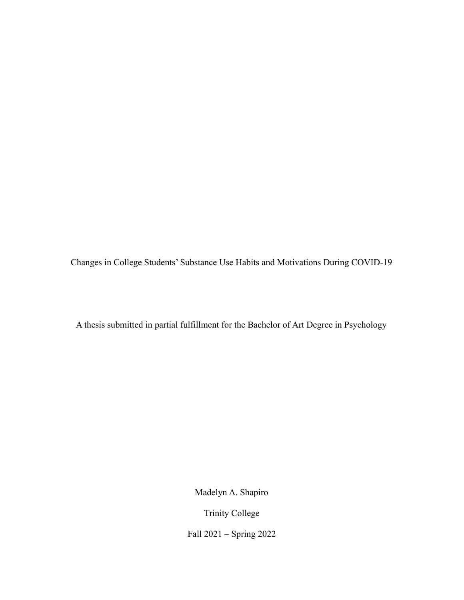Changes in College Students' Substance Use Habits and Motivations During COVID-19

A thesis submitted in partial fulfillment for the Bachelor of Art Degree in Psychology

Madelyn A. Shapiro

Trinity College

Fall 2021 – Spring 2022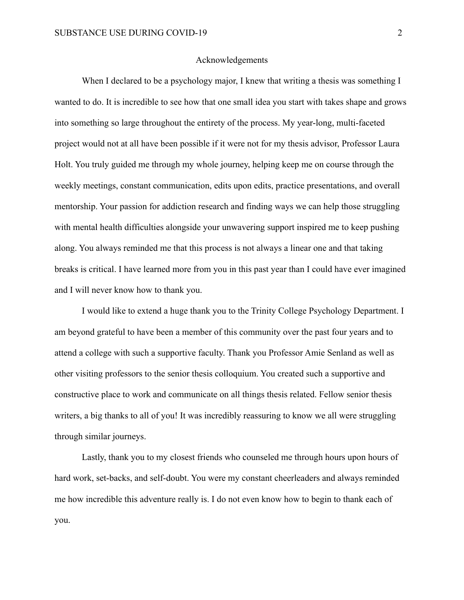#### Acknowledgements

When I declared to be a psychology major, I knew that writing a thesis was something I wanted to do. It is incredible to see how that one small idea you start with takes shape and grows into something so large throughout the entirety of the process. My year-long, multi-faceted project would not at all have been possible if it were not for my thesis advisor, Professor Laura Holt. You truly guided me through my whole journey, helping keep me on course through the weekly meetings, constant communication, edits upon edits, practice presentations, and overall mentorship. Your passion for addiction research and finding ways we can help those struggling with mental health difficulties alongside your unwavering support inspired me to keep pushing along. You always reminded me that this process is not always a linear one and that taking breaks is critical. I have learned more from you in this past year than I could have ever imagined and I will never know how to thank you.

I would like to extend a huge thank you to the Trinity College Psychology Department. I am beyond grateful to have been a member of this community over the past four years and to attend a college with such a supportive faculty. Thank you Professor Amie Senland as well as other visiting professors to the senior thesis colloquium. You created such a supportive and constructive place to work and communicate on all things thesis related. Fellow senior thesis writers, a big thanks to all of you! It was incredibly reassuring to know we all were struggling through similar journeys.

Lastly, thank you to my closest friends who counseled me through hours upon hours of hard work, set-backs, and self-doubt. You were my constant cheerleaders and always reminded me how incredible this adventure really is. I do not even know how to begin to thank each of you.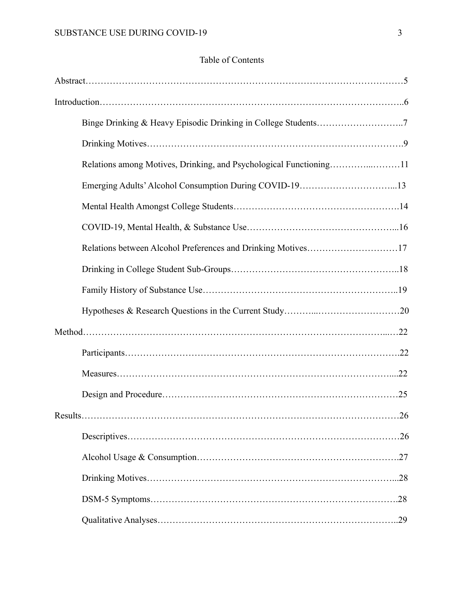## Table of Contents

| Relations among Motives, Drinking, and Psychological Functioning11 |     |
|--------------------------------------------------------------------|-----|
| Emerging Adults' Alcohol Consumption During COVID-1913             |     |
|                                                                    |     |
|                                                                    |     |
| Relations between Alcohol Preferences and Drinking Motives17       |     |
|                                                                    |     |
|                                                                    |     |
|                                                                    |     |
|                                                                    |     |
|                                                                    |     |
|                                                                    |     |
|                                                                    |     |
| Results                                                            | .26 |
|                                                                    |     |
|                                                                    |     |
|                                                                    |     |
|                                                                    |     |
|                                                                    |     |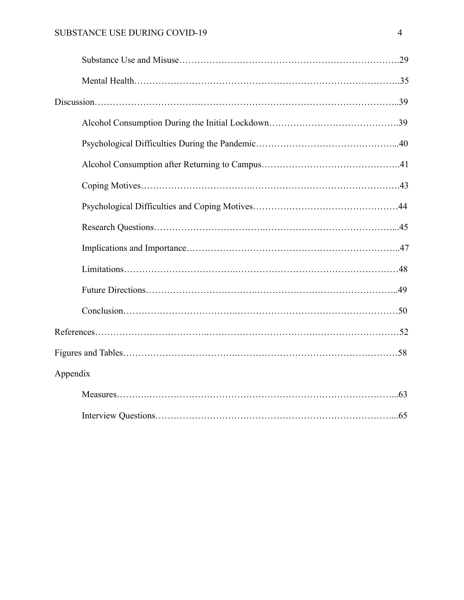| Appendix |
|----------|
|          |
|          |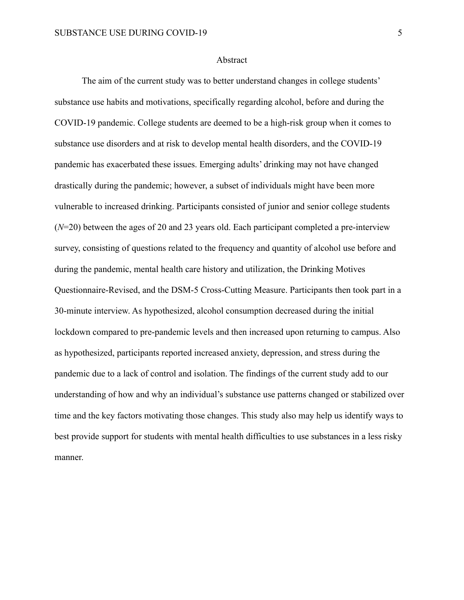#### Abstract

The aim of the current study was to better understand changes in college students' substance use habits and motivations, specifically regarding alcohol, before and during the COVID-19 pandemic. College students are deemed to be a high-risk group when it comes to substance use disorders and at risk to develop mental health disorders, and the COVID-19 pandemic has exacerbated these issues. Emerging adults' drinking may not have changed drastically during the pandemic; however, a subset of individuals might have been more vulnerable to increased drinking. Participants consisted of junior and senior college students (*N*=20) between the ages of 20 and 23 years old. Each participant completed a pre-interview survey, consisting of questions related to the frequency and quantity of alcohol use before and during the pandemic, mental health care history and utilization, the Drinking Motives Questionnaire-Revised, and the DSM-5 Cross-Cutting Measure. Participants then took part in a 30-minute interview. As hypothesized, alcohol consumption decreased during the initial lockdown compared to pre-pandemic levels and then increased upon returning to campus. Also as hypothesized, participants reported increased anxiety, depression, and stress during the pandemic due to a lack of control and isolation. The findings of the current study add to our understanding of how and why an individual's substance use patterns changed or stabilized over time and the key factors motivating those changes. This study also may help us identify ways to best provide support for students with mental health difficulties to use substances in a less risky manner.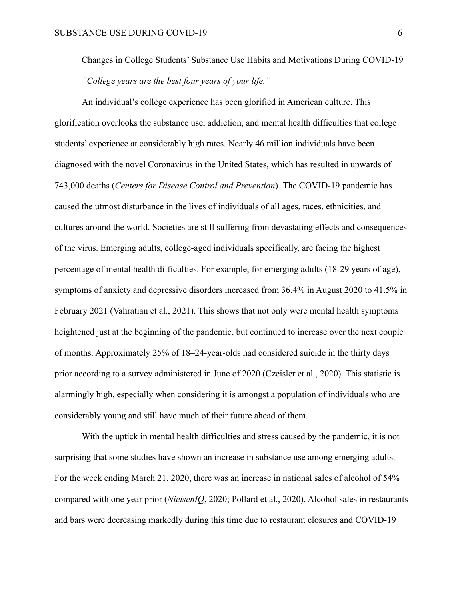Changes in College Students' Substance Use Habits and Motivations During COVID-19 *"College years are the best four years of your life."*

An individual's college experience has been glorified in American culture. This glorification overlooks the substance use, addiction, and mental health difficulties that college students' experience at considerably high rates. Nearly 46 million individuals have been diagnosed with the novel Coronavirus in the United States, which has resulted in upwards of 743,000 deaths (*Centers for Disease Control and Prevention*). The COVID-19 pandemic has caused the utmost disturbance in the lives of individuals of all ages, races, ethnicities, and cultures around the world. Societies are still suffering from devastating effects and consequences of the virus. Emerging adults, college-aged individuals specifically, are facing the highest percentage of mental health difficulties. For example, for emerging adults (18-29 years of age), symptoms of anxiety and depressive disorders increased from 36.4% in August 2020 to 41.5% in February 2021 (Vahratian et al., 2021). This shows that not only were mental health symptoms heightened just at the beginning of the pandemic, but continued to increase over the next couple of months. Approximately 25% of 18–24-year-olds had considered suicide in the thirty days prior according to a survey administered in June of 2020 (Czeisler et al., 2020). This statistic is alarmingly high, especially when considering it is amongst a population of individuals who are considerably young and still have much of their future ahead of them.

With the uptick in mental health difficulties and stress caused by the pandemic, it is not surprising that some studies have shown an increase in substance use among emerging adults. For the week ending March 21, 2020, there was an increase in national sales of alcohol of 54% compared with one year prior (*NielsenIQ*, 2020; Pollard et al., 2020). Alcohol sales in restaurants and bars were decreasing markedly during this time due to restaurant closures and COVID-19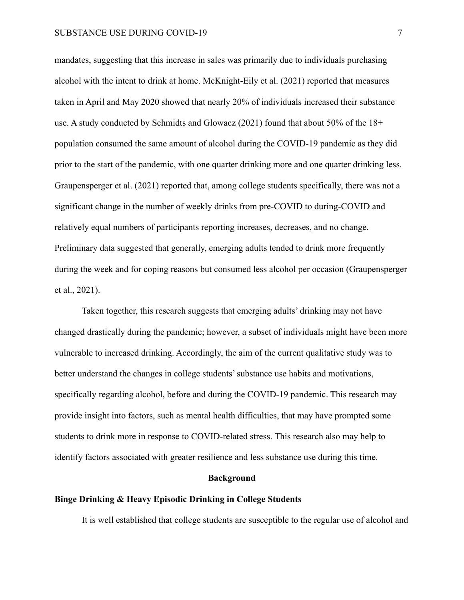mandates, suggesting that this increase in sales was primarily due to individuals purchasing alcohol with the intent to drink at home. McKnight-Eily et al. (2021) reported that measures taken in April and May 2020 showed that nearly 20% of individuals increased their substance use. A study conducted by Schmidts and Glowacz (2021) found that about 50% of the 18+ population consumed the same amount of alcohol during the COVID-19 pandemic as they did prior to the start of the pandemic, with one quarter drinking more and one quarter drinking less. Graupensperger et al. (2021) reported that, among college students specifically, there was not a significant change in the number of weekly drinks from pre-COVID to during-COVID and relatively equal numbers of participants reporting increases, decreases, and no change. Preliminary data suggested that generally, emerging adults tended to drink more frequently during the week and for coping reasons but consumed less alcohol per occasion (Graupensperger et al., 2021).

Taken together, this research suggests that emerging adults' drinking may not have changed drastically during the pandemic; however, a subset of individuals might have been more vulnerable to increased drinking. Accordingly, the aim of the current qualitative study was to better understand the changes in college students' substance use habits and motivations, specifically regarding alcohol, before and during the COVID-19 pandemic. This research may provide insight into factors, such as mental health difficulties, that may have prompted some students to drink more in response to COVID-related stress. This research also may help to identify factors associated with greater resilience and less substance use during this time.

#### **Background**

## **Binge Drinking & Heavy Episodic Drinking in College Students**

It is well established that college students are susceptible to the regular use of alcohol and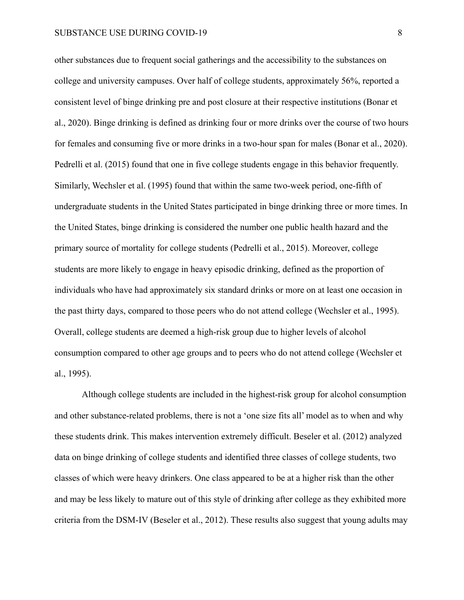other substances due to frequent social gatherings and the accessibility to the substances on college and university campuses. Over half of college students, approximately 56%, reported a consistent level of binge drinking pre and post closure at their respective institutions (Bonar et al., 2020). Binge drinking is defined as drinking four or more drinks over the course of two hours for females and consuming five or more drinks in a two-hour span for males (Bonar et al., 2020). Pedrelli et al. (2015) found that one in five college students engage in this behavior frequently. Similarly, Wechsler et al. (1995) found that within the same two-week period, one-fifth of undergraduate students in the United States participated in binge drinking three or more times. In the United States, binge drinking is considered the number one public health hazard and the primary source of mortality for college students (Pedrelli et al., 2015). Moreover, college students are more likely to engage in heavy episodic drinking, defined as the proportion of individuals who have had approximately six standard drinks or more on at least one occasion in the past thirty days, compared to those peers who do not attend college (Wechsler et al., 1995). Overall, college students are deemed a high-risk group due to higher levels of alcohol consumption compared to other age groups and to peers who do not attend college (Wechsler et al., 1995).

Although college students are included in the highest-risk group for alcohol consumption and other substance-related problems, there is not a 'one size fits all' model as to when and why these students drink. This makes intervention extremely difficult. Beseler et al. (2012) analyzed data on binge drinking of college students and identified three classes of college students, two classes of which were heavy drinkers. One class appeared to be at a higher risk than the other and may be less likely to mature out of this style of drinking after college as they exhibited more criteria from the DSM-IV (Beseler et al., 2012). These results also suggest that young adults may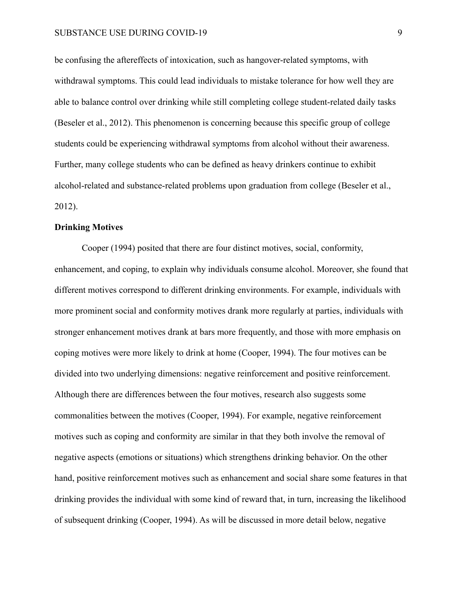be confusing the aftereffects of intoxication, such as hangover-related symptoms, with withdrawal symptoms. This could lead individuals to mistake tolerance for how well they are able to balance control over drinking while still completing college student-related daily tasks (Beseler et al., 2012). This phenomenon is concerning because this specific group of college students could be experiencing withdrawal symptoms from alcohol without their awareness. Further, many college students who can be defined as heavy drinkers continue to exhibit alcohol-related and substance-related problems upon graduation from college (Beseler et al., 2012).

### **Drinking Motives**

Cooper (1994) posited that there are four distinct motives, social, conformity, enhancement, and coping, to explain why individuals consume alcohol. Moreover, she found that different motives correspond to different drinking environments. For example, individuals with more prominent social and conformity motives drank more regularly at parties, individuals with stronger enhancement motives drank at bars more frequently, and those with more emphasis on coping motives were more likely to drink at home (Cooper, 1994). The four motives can be divided into two underlying dimensions: negative reinforcement and positive reinforcement. Although there are differences between the four motives, research also suggests some commonalities between the motives (Cooper, 1994). For example, negative reinforcement motives such as coping and conformity are similar in that they both involve the removal of negative aspects (emotions or situations) which strengthens drinking behavior. On the other hand, positive reinforcement motives such as enhancement and social share some features in that drinking provides the individual with some kind of reward that, in turn, increasing the likelihood of subsequent drinking (Cooper, 1994). As will be discussed in more detail below, negative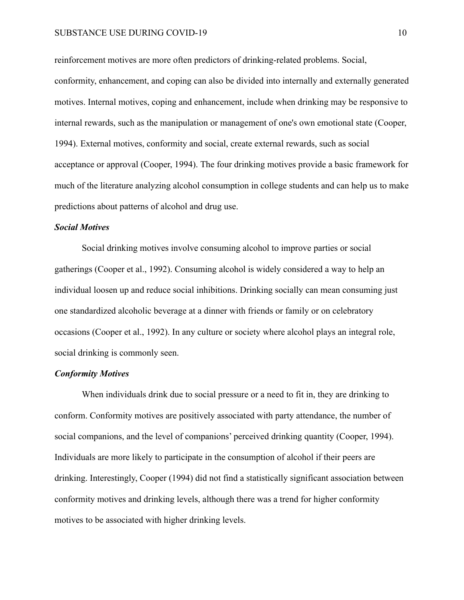reinforcement motives are more often predictors of drinking-related problems. Social, conformity, enhancement, and coping can also be divided into internally and externally generated motives. Internal motives, coping and enhancement, include when drinking may be responsive to internal rewards, such as the manipulation or management of one's own emotional state (Cooper, 1994). External motives, conformity and social, create external rewards, such as social acceptance or approval (Cooper, 1994). The four drinking motives provide a basic framework for much of the literature analyzing alcohol consumption in college students and can help us to make predictions about patterns of alcohol and drug use.

#### *Social Motives*

Social drinking motives involve consuming alcohol to improve parties or social gatherings (Cooper et al., 1992). Consuming alcohol is widely considered a way to help an individual loosen up and reduce social inhibitions. Drinking socially can mean consuming just one standardized alcoholic beverage at a dinner with friends or family or on celebratory occasions (Cooper et al., 1992). In any culture or society where alcohol plays an integral role, social drinking is commonly seen.

## *Conformity Motives*

When individuals drink due to social pressure or a need to fit in, they are drinking to conform. Conformity motives are positively associated with party attendance, the number of social companions, and the level of companions' perceived drinking quantity (Cooper, 1994). Individuals are more likely to participate in the consumption of alcohol if their peers are drinking. Interestingly, Cooper (1994) did not find a statistically significant association between conformity motives and drinking levels, although there was a trend for higher conformity motives to be associated with higher drinking levels.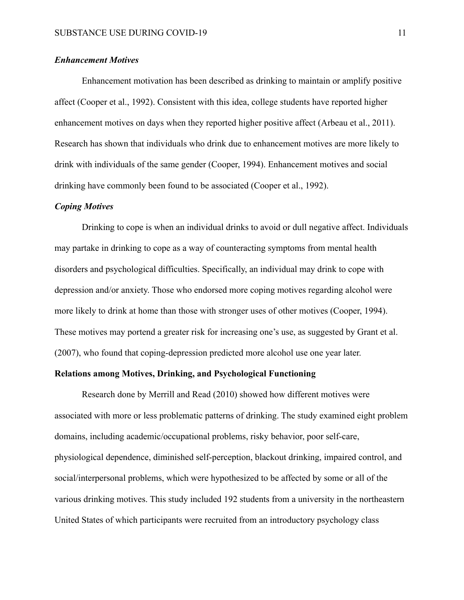## *Enhancement Motives*

Enhancement motivation has been described as drinking to maintain or amplify positive affect (Cooper et al., 1992). Consistent with this idea, college students have reported higher enhancement motives on days when they reported higher positive affect (Arbeau et al., 2011). Research has shown that individuals who drink due to enhancement motives are more likely to drink with individuals of the same gender (Cooper, 1994). Enhancement motives and social drinking have commonly been found to be associated (Cooper et al., 1992).

#### *Coping Motives*

Drinking to cope is when an individual drinks to avoid or dull negative affect. Individuals may partake in drinking to cope as a way of counteracting symptoms from mental health disorders and psychological difficulties. Specifically, an individual may drink to cope with depression and/or anxiety. Those who endorsed more coping motives regarding alcohol were more likely to drink at home than those with stronger uses of other motives (Cooper, 1994). These motives may portend a greater risk for increasing one's use, as suggested by Grant et al. (2007), who found that coping-depression predicted more alcohol use one year later.

## **Relations among Motives, Drinking, and Psychological Functioning**

Research done by Merrill and Read (2010) showed how different motives were associated with more or less problematic patterns of drinking. The study examined eight problem domains, including academic/occupational problems, risky behavior, poor self-care, physiological dependence, diminished self-perception, blackout drinking, impaired control, and social/interpersonal problems, which were hypothesized to be affected by some or all of the various drinking motives. This study included 192 students from a university in the northeastern United States of which participants were recruited from an introductory psychology class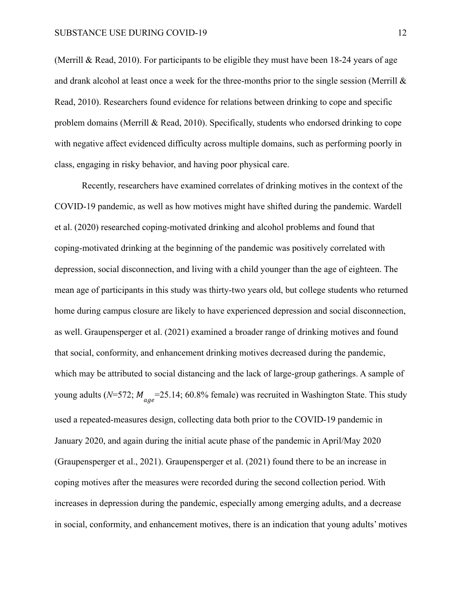(Merrill & Read, 2010). For participants to be eligible they must have been  $18-24$  years of age and drank alcohol at least once a week for the three-months prior to the single session (Merrill & Read, 2010). Researchers found evidence for relations between drinking to cope and specific problem domains (Merrill & Read, 2010). Specifically, students who endorsed drinking to cope with negative affect evidenced difficulty across multiple domains, such as performing poorly in class, engaging in risky behavior, and having poor physical care.

Recently, researchers have examined correlates of drinking motives in the context of the COVID-19 pandemic, as well as how motives might have shifted during the pandemic. Wardell et al. (2020) researched coping-motivated drinking and alcohol problems and found that coping-motivated drinking at the beginning of the pandemic was positively correlated with depression, social disconnection, and living with a child younger than the age of eighteen. The mean age of participants in this study was thirty-two years old, but college students who returned home during campus closure are likely to have experienced depression and social disconnection, as well. Graupensperger et al. (2021) examined a broader range of drinking motives and found that social, conformity, and enhancement drinking motives decreased during the pandemic, which may be attributed to social distancing and the lack of large-group gatherings. A sample of young adults (*N*=572;  $M_{age}$ =25.14; 60.8% female) was recruited in Washington State. This study used a repeated-measures design, collecting data both prior to the COVID-19 pandemic in January 2020, and again during the initial acute phase of the pandemic in April/May 2020 (Graupensperger et al., 2021). Graupensperger et al. (2021) found there to be an increase in coping motives after the measures were recorded during the second collection period. With increases in depression during the pandemic, especially among emerging adults, and a decrease in social, conformity, and enhancement motives, there is an indication that young adults' motives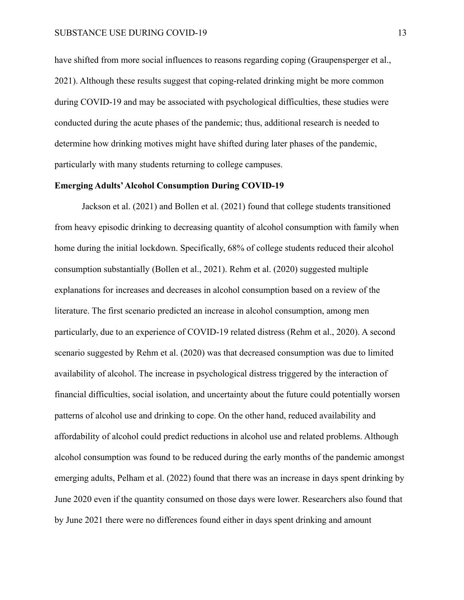have shifted from more social influences to reasons regarding coping (Graupensperger et al., 2021). Although these results suggest that coping-related drinking might be more common during COVID-19 and may be associated with psychological difficulties, these studies were conducted during the acute phases of the pandemic; thus, additional research is needed to determine how drinking motives might have shifted during later phases of the pandemic, particularly with many students returning to college campuses.

## **Emerging Adults'Alcohol Consumption During COVID-19**

Jackson et al. (2021) and Bollen et al. (2021) found that college students transitioned from heavy episodic drinking to decreasing quantity of alcohol consumption with family when home during the initial lockdown. Specifically, 68% of college students reduced their alcohol consumption substantially (Bollen et al., 2021). Rehm et al. (2020) suggested multiple explanations for increases and decreases in alcohol consumption based on a review of the literature. The first scenario predicted an increase in alcohol consumption, among men particularly, due to an experience of COVID-19 related distress (Rehm et al., 2020). A second scenario suggested by Rehm et al. (2020) was that decreased consumption was due to limited availability of alcohol. The increase in psychological distress triggered by the interaction of financial difficulties, social isolation, and uncertainty about the future could potentially worsen patterns of alcohol use and drinking to cope. On the other hand, reduced availability and affordability of alcohol could predict reductions in alcohol use and related problems. Although alcohol consumption was found to be reduced during the early months of the pandemic amongst emerging adults, Pelham et al. (2022) found that there was an increase in days spent drinking by June 2020 even if the quantity consumed on those days were lower. Researchers also found that by June 2021 there were no differences found either in days spent drinking and amount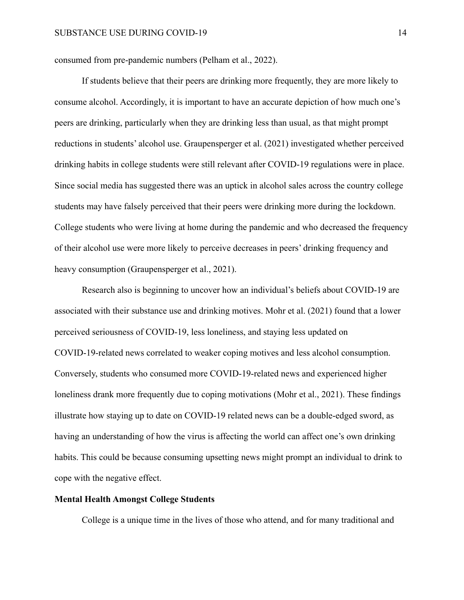consumed from pre-pandemic numbers (Pelham et al., 2022).

If students believe that their peers are drinking more frequently, they are more likely to consume alcohol. Accordingly, it is important to have an accurate depiction of how much one's peers are drinking, particularly when they are drinking less than usual, as that might prompt reductions in students' alcohol use. Graupensperger et al. (2021) investigated whether perceived drinking habits in college students were still relevant after COVID-19 regulations were in place. Since social media has suggested there was an uptick in alcohol sales across the country college students may have falsely perceived that their peers were drinking more during the lockdown. College students who were living at home during the pandemic and who decreased the frequency of their alcohol use were more likely to perceive decreases in peers' drinking frequency and heavy consumption (Graupensperger et al., 2021).

Research also is beginning to uncover how an individual's beliefs about COVID-19 are associated with their substance use and drinking motives. Mohr et al. (2021) found that a lower perceived seriousness of COVID-19, less loneliness, and staying less updated on COVID-19-related news correlated to weaker coping motives and less alcohol consumption. Conversely, students who consumed more COVID-19-related news and experienced higher loneliness drank more frequently due to coping motivations (Mohr et al., 2021). These findings illustrate how staying up to date on COVID-19 related news can be a double-edged sword, as having an understanding of how the virus is affecting the world can affect one's own drinking habits. This could be because consuming upsetting news might prompt an individual to drink to cope with the negative effect.

## **Mental Health Amongst College Students**

College is a unique time in the lives of those who attend, and for many traditional and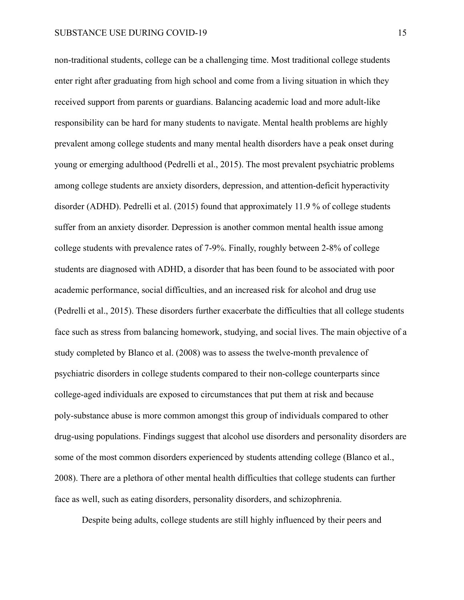non-traditional students, college can be a challenging time. Most traditional college students enter right after graduating from high school and come from a living situation in which they received support from parents or guardians. Balancing academic load and more adult-like responsibility can be hard for many students to navigate. Mental health problems are highly prevalent among college students and many mental health disorders have a peak onset during young or emerging adulthood (Pedrelli et al., 2015). The most prevalent psychiatric problems among college students are anxiety disorders, depression, and attention-deficit hyperactivity disorder (ADHD). Pedrelli et al. (2015) found that approximately 11.9 % of college students suffer from an anxiety disorder. Depression is another common mental health issue among college students with prevalence rates of 7-9%. Finally, roughly between 2-8% of college students are diagnosed with ADHD, a disorder that has been found to be associated with poor academic performance, social difficulties, and an increased risk for alcohol and drug use (Pedrelli et al., 2015). These disorders further exacerbate the difficulties that all college students face such as stress from balancing homework, studying, and social lives. The main objective of a study completed by Blanco et al. (2008) was to assess the twelve-month prevalence of psychiatric disorders in college students compared to their non-college counterparts since college-aged individuals are exposed to circumstances that put them at risk and because poly-substance abuse is more common amongst this group of individuals compared to other drug-using populations. Findings suggest that alcohol use disorders and personality disorders are some of the most common disorders experienced by students attending college (Blanco et al., 2008). There are a plethora of other mental health difficulties that college students can further face as well, such as eating disorders, personality disorders, and schizophrenia.

Despite being adults, college students are still highly influenced by their peers and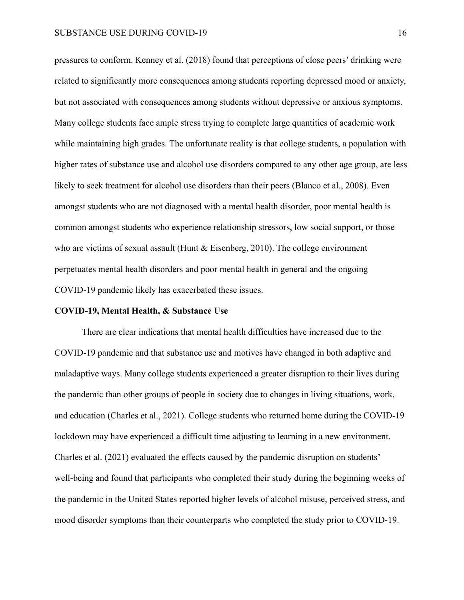pressures to conform. Kenney et al. (2018) found that perceptions of close peers' drinking were related to significantly more consequences among students reporting depressed mood or anxiety, but not associated with consequences among students without depressive or anxious symptoms. Many college students face ample stress trying to complete large quantities of academic work while maintaining high grades. The unfortunate reality is that college students, a population with higher rates of substance use and alcohol use disorders compared to any other age group, are less likely to seek treatment for alcohol use disorders than their peers (Blanco et al., 2008). Even amongst students who are not diagnosed with a mental health disorder, poor mental health is common amongst students who experience relationship stressors, low social support, or those who are victims of sexual assault (Hunt & Eisenberg, 2010). The college environment perpetuates mental health disorders and poor mental health in general and the ongoing COVID-19 pandemic likely has exacerbated these issues.

#### **COVID-19, Mental Health, & Substance Use**

There are clear indications that mental health difficulties have increased due to the COVID-19 pandemic and that substance use and motives have changed in both adaptive and maladaptive ways. Many college students experienced a greater disruption to their lives during the pandemic than other groups of people in society due to changes in living situations, work, and education (Charles et al., 2021). College students who returned home during the COVID-19 lockdown may have experienced a difficult time adjusting to learning in a new environment. Charles et al. (2021) evaluated the effects caused by the pandemic disruption on students' well-being and found that participants who completed their study during the beginning weeks of the pandemic in the United States reported higher levels of alcohol misuse, perceived stress, and mood disorder symptoms than their counterparts who completed the study prior to COVID-19.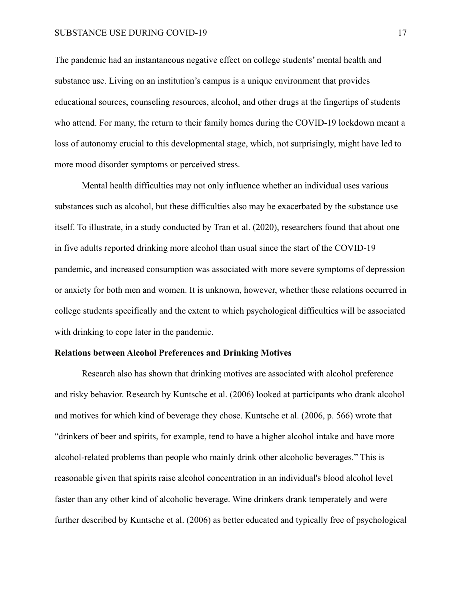#### SUBSTANCE USE DURING COVID-19 17

The pandemic had an instantaneous negative effect on college students' mental health and substance use. Living on an institution's campus is a unique environment that provides educational sources, counseling resources, alcohol, and other drugs at the fingertips of students who attend. For many, the return to their family homes during the COVID-19 lockdown meant a loss of autonomy crucial to this developmental stage, which, not surprisingly, might have led to more mood disorder symptoms or perceived stress.

Mental health difficulties may not only influence whether an individual uses various substances such as alcohol, but these difficulties also may be exacerbated by the substance use itself. To illustrate, in a study conducted by Tran et al. (2020), researchers found that about one in five adults reported drinking more alcohol than usual since the start of the COVID-19 pandemic, and increased consumption was associated with more severe symptoms of depression or anxiety for both men and women. It is unknown, however, whether these relations occurred in college students specifically and the extent to which psychological difficulties will be associated with drinking to cope later in the pandemic.

## **Relations between Alcohol Preferences and Drinking Motives**

Research also has shown that drinking motives are associated with alcohol preference and risky behavior. Research by Kuntsche et al. (2006) looked at participants who drank alcohol and motives for which kind of beverage they chose. Kuntsche et al. (2006, p. 566) wrote that "drinkers of beer and spirits, for example, tend to have a higher alcohol intake and have more alcohol-related problems than people who mainly drink other alcoholic beverages." This is reasonable given that spirits raise alcohol concentration in an individual's blood alcohol level faster than any other kind of alcoholic beverage. Wine drinkers drank temperately and were further described by Kuntsche et al. (2006) as better educated and typically free of psychological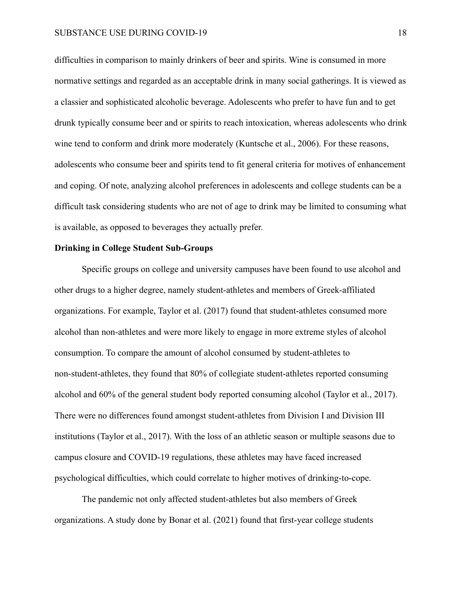difficulties in comparison to mainly drinkers of beer and spirits. Wine is consumed in more normative settings and regarded as an acceptable drink in many social gatherings. It is viewed as a classier and sophisticated alcoholic beverage. Adolescents who prefer to have fun and to get drunk typically consume beer and or spirits to reach intoxication, whereas adolescents who drink wine tend to conform and drink more moderately (Kuntsche et al., 2006). For these reasons, adolescents who consume beer and spirits tend to fit general criteria for motives of enhancement and coping. Of note, analyzing alcohol preferences in adolescents and college students can be a difficult task considering students who are not of age to drink may be limited to consuming what is available, as opposed to beverages they actually prefer.

## **Drinking in College Student Sub-Groups**

Specific groups on college and university campuses have been found to use alcohol and other drugs to a higher degree, namely student-athletes and members of Greek-affiliated organizations. For example, Taylor et al. (2017) found that student-athletes consumed more alcohol than non-athletes and were more likely to engage in more extreme styles of alcohol consumption. To compare the amount of alcohol consumed by student-athletes to non-student-athletes, they found that 80% of collegiate student-athletes reported consuming alcohol and 60% of the general student body reported consuming alcohol (Taylor et al., 2017). There were no differences found amongst student-athletes from Division I and Division III institutions (Taylor et al., 2017). With the loss of an athletic season or multiple seasons due to campus closure and COVID-19 regulations, these athletes may have faced increased psychological difficulties, which could correlate to higher motives of drinking-to-cope.

The pandemic not only affected student-athletes but also members of Greek organizations. A study done by Bonar et al. (2021) found that first-year college students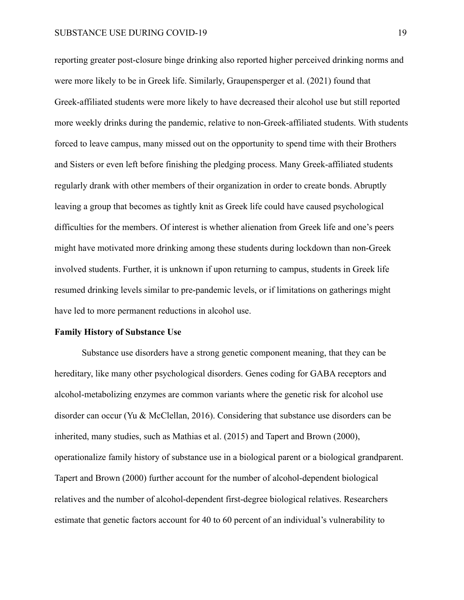reporting greater post-closure binge drinking also reported higher perceived drinking norms and were more likely to be in Greek life. Similarly, Graupensperger et al. (2021) found that Greek-affiliated students were more likely to have decreased their alcohol use but still reported more weekly drinks during the pandemic, relative to non-Greek-affiliated students. With students forced to leave campus, many missed out on the opportunity to spend time with their Brothers and Sisters or even left before finishing the pledging process. Many Greek-affiliated students regularly drank with other members of their organization in order to create bonds. Abruptly leaving a group that becomes as tightly knit as Greek life could have caused psychological difficulties for the members. Of interest is whether alienation from Greek life and one's peers might have motivated more drinking among these students during lockdown than non-Greek involved students. Further, it is unknown if upon returning to campus, students in Greek life resumed drinking levels similar to pre-pandemic levels, or if limitations on gatherings might have led to more permanent reductions in alcohol use.

#### **Family History of Substance Use**

Substance use disorders have a strong genetic component meaning, that they can be hereditary, like many other psychological disorders. Genes coding for GABA receptors and alcohol-metabolizing enzymes are common variants where the genetic risk for alcohol use disorder can occur (Yu & McClellan, 2016). Considering that substance use disorders can be inherited, many studies, such as Mathias et al. (2015) and Tapert and Brown (2000), operationalize family history of substance use in a biological parent or a biological grandparent. Tapert and Brown (2000) further account for the number of alcohol-dependent biological relatives and the number of alcohol-dependent first-degree biological relatives. Researchers estimate that genetic factors account for 40 to 60 percent of an individual's vulnerability to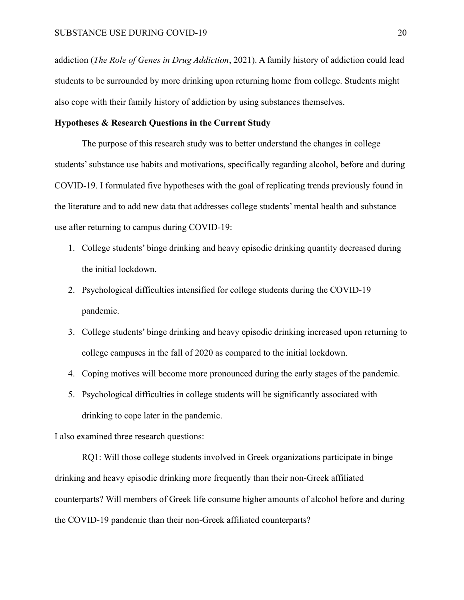addiction (*The Role of Genes in Drug Addiction*, 2021). A family history of addiction could lead students to be surrounded by more drinking upon returning home from college. Students might also cope with their family history of addiction by using substances themselves.

## **Hypotheses & Research Questions in the Current Study**

The purpose of this research study was to better understand the changes in college students' substance use habits and motivations, specifically regarding alcohol, before and during COVID-19. I formulated five hypotheses with the goal of replicating trends previously found in the literature and to add new data that addresses college students' mental health and substance use after returning to campus during COVID-19:

- 1. College students' binge drinking and heavy episodic drinking quantity decreased during the initial lockdown.
- 2. Psychological difficulties intensified for college students during the COVID-19 pandemic.
- 3. College students' binge drinking and heavy episodic drinking increased upon returning to college campuses in the fall of 2020 as compared to the initial lockdown.
- 4. Coping motives will become more pronounced during the early stages of the pandemic.
- 5. Psychological difficulties in college students will be significantly associated with drinking to cope later in the pandemic.

I also examined three research questions:

RQ1: Will those college students involved in Greek organizations participate in binge drinking and heavy episodic drinking more frequently than their non-Greek affiliated counterparts? Will members of Greek life consume higher amounts of alcohol before and during the COVID-19 pandemic than their non-Greek affiliated counterparts?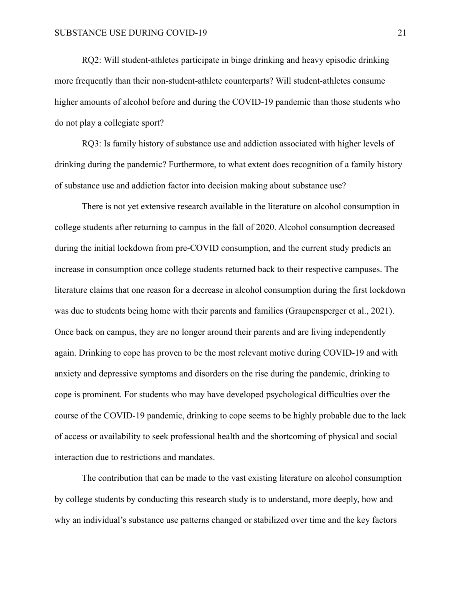RQ2: Will student-athletes participate in binge drinking and heavy episodic drinking more frequently than their non-student-athlete counterparts? Will student-athletes consume higher amounts of alcohol before and during the COVID-19 pandemic than those students who do not play a collegiate sport?

RQ3: Is family history of substance use and addiction associated with higher levels of drinking during the pandemic? Furthermore, to what extent does recognition of a family history of substance use and addiction factor into decision making about substance use?

There is not yet extensive research available in the literature on alcohol consumption in college students after returning to campus in the fall of 2020. Alcohol consumption decreased during the initial lockdown from pre-COVID consumption, and the current study predicts an increase in consumption once college students returned back to their respective campuses. The literature claims that one reason for a decrease in alcohol consumption during the first lockdown was due to students being home with their parents and families (Graupensperger et al., 2021). Once back on campus, they are no longer around their parents and are living independently again. Drinking to cope has proven to be the most relevant motive during COVID-19 and with anxiety and depressive symptoms and disorders on the rise during the pandemic, drinking to cope is prominent. For students who may have developed psychological difficulties over the course of the COVID-19 pandemic, drinking to cope seems to be highly probable due to the lack of access or availability to seek professional health and the shortcoming of physical and social interaction due to restrictions and mandates.

The contribution that can be made to the vast existing literature on alcohol consumption by college students by conducting this research study is to understand, more deeply, how and why an individual's substance use patterns changed or stabilized over time and the key factors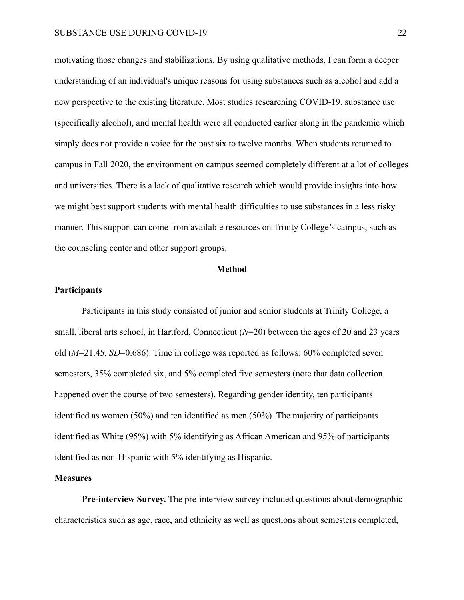motivating those changes and stabilizations. By using qualitative methods, I can form a deeper understanding of an individual's unique reasons for using substances such as alcohol and add a new perspective to the existing literature. Most studies researching COVID-19, substance use (specifically alcohol), and mental health were all conducted earlier along in the pandemic which simply does not provide a voice for the past six to twelve months. When students returned to campus in Fall 2020, the environment on campus seemed completely different at a lot of colleges and universities. There is a lack of qualitative research which would provide insights into how we might best support students with mental health difficulties to use substances in a less risky manner. This support can come from available resources on Trinity College's campus, such as the counseling center and other support groups.

#### **Method**

### **Participants**

Participants in this study consisted of junior and senior students at Trinity College, a small, liberal arts school, in Hartford, Connecticut (*N*=20) between the ages of 20 and 23 years old (*M*=21.45, *SD*=0.686). Time in college was reported as follows: 60% completed seven semesters, 35% completed six, and 5% completed five semesters (note that data collection happened over the course of two semesters). Regarding gender identity, ten participants identified as women (50%) and ten identified as men (50%). The majority of participants identified as White (95%) with 5% identifying as African American and 95% of participants identified as non-Hispanic with 5% identifying as Hispanic.

### **Measures**

**Pre-interview Survey.** The pre-interview survey included questions about demographic characteristics such as age, race, and ethnicity as well as questions about semesters completed,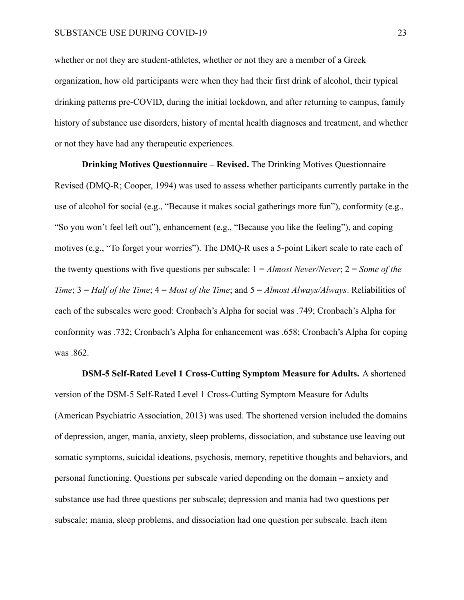whether or not they are student-athletes, whether or not they are a member of a Greek organization, how old participants were when they had their first drink of alcohol, their typical drinking patterns pre-COVID, during the initial lockdown, and after returning to campus, family history of substance use disorders, history of mental health diagnoses and treatment, and whether or not they have had any therapeutic experiences.

**Drinking Motives Questionnaire – Revised.** The Drinking Motives Questionnaire – Revised (DMQ-R; Cooper, 1994) was used to assess whether participants currently partake in the use of alcohol for social (e.g., "Because it makes social gatherings more fun"), conformity (e.g., "So you won't feel left out"), enhancement (e.g., "Because you like the feeling"), and coping motives (e.g., "To forget your worries"). The DMQ-R uses a 5-point Likert scale to rate each of the twenty questions with five questions per subscale: 1 = *Almost Never/Never*; 2 = *Some of the Time*; 3 = *Half of the Time*; 4 = *Most of the Time*; and 5 = *Almost Always/Always*. Reliabilities of each of the subscales were good: Cronbach's Alpha for social was .749; Cronbach's Alpha for conformity was .732; Cronbach's Alpha for enhancement was .658; Cronbach's Alpha for coping was .862.

**DSM-5 Self-Rated Level 1 Cross-Cutting Symptom Measure for Adults.** A shortened version of the DSM-5 Self-Rated Level 1 Cross-Cutting Symptom Measure for Adults (American Psychiatric Association, 2013) was used. The shortened version included the domains of depression, anger, mania, anxiety, sleep problems, dissociation, and substance use leaving out somatic symptoms, suicidal ideations, psychosis, memory, repetitive thoughts and behaviors, and personal functioning. Questions per subscale varied depending on the domain – anxiety and substance use had three questions per subscale; depression and mania had two questions per subscale; mania, sleep problems, and dissociation had one question per subscale. Each item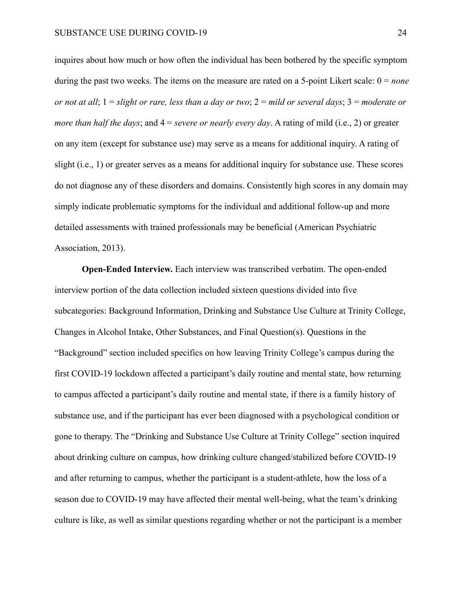inquires about how much or how often the individual has been bothered by the specific symptom during the past two weeks. The items on the measure are rated on a 5-point Likert scale: 0 = *none or not at all*; 1 = *slight or rare, less than a day or two*; 2 = *mild or several days*; 3 = *moderate or more than half the days*; and 4 = *severe or nearly every day*. A rating of mild (i.e., 2) or greater on any item (except for substance use) may serve as a means for additional inquiry. A rating of slight (i.e., 1) or greater serves as a means for additional inquiry for substance use. These scores do not diagnose any of these disorders and domains. Consistently high scores in any domain may simply indicate problematic symptoms for the individual and additional follow-up and more detailed assessments with trained professionals may be beneficial (American Psychiatric Association, 2013).

**Open-Ended Interview.** Each interview was transcribed verbatim. The open-ended interview portion of the data collection included sixteen questions divided into five subcategories: Background Information, Drinking and Substance Use Culture at Trinity College, Changes in Alcohol Intake, Other Substances, and Final Question(s). Questions in the "Background" section included specifics on how leaving Trinity College's campus during the first COVID-19 lockdown affected a participant's daily routine and mental state, how returning to campus affected a participant's daily routine and mental state, if there is a family history of substance use, and if the participant has ever been diagnosed with a psychological condition or gone to therapy. The "Drinking and Substance Use Culture at Trinity College" section inquired about drinking culture on campus, how drinking culture changed/stabilized before COVID-19 and after returning to campus, whether the participant is a student-athlete, how the loss of a season due to COVID-19 may have affected their mental well-being, what the team's drinking culture is like, as well as similar questions regarding whether or not the participant is a member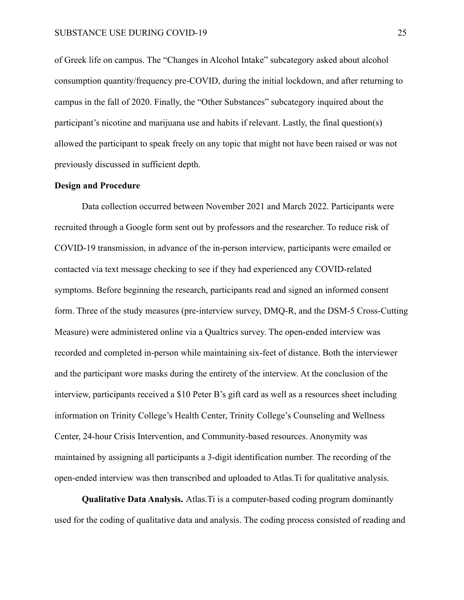of Greek life on campus. The "Changes in Alcohol Intake" subcategory asked about alcohol consumption quantity/frequency pre-COVID, during the initial lockdown, and after returning to campus in the fall of 2020. Finally, the "Other Substances" subcategory inquired about the participant's nicotine and marijuana use and habits if relevant. Lastly, the final question(s) allowed the participant to speak freely on any topic that might not have been raised or was not previously discussed in sufficient depth.

## **Design and Procedure**

Data collection occurred between November 2021 and March 2022. Participants were recruited through a Google form sent out by professors and the researcher. To reduce risk of COVID-19 transmission, in advance of the in-person interview, participants were emailed or contacted via text message checking to see if they had experienced any COVID-related symptoms. Before beginning the research, participants read and signed an informed consent form. Three of the study measures (pre-interview survey, DMQ-R, and the DSM-5 Cross-Cutting Measure) were administered online via a Qualtrics survey. The open-ended interview was recorded and completed in-person while maintaining six-feet of distance. Both the interviewer and the participant wore masks during the entirety of the interview. At the conclusion of the interview, participants received a \$10 Peter B's gift card as well as a resources sheet including information on Trinity College's Health Center, Trinity College's Counseling and Wellness Center, 24-hour Crisis Intervention, and Community-based resources. Anonymity was maintained by assigning all participants a 3-digit identification number. The recording of the open-ended interview was then transcribed and uploaded to Atlas.Ti for qualitative analysis.

**Qualitative Data Analysis.** Atlas.Ti is a computer-based coding program dominantly used for the coding of qualitative data and analysis. The coding process consisted of reading and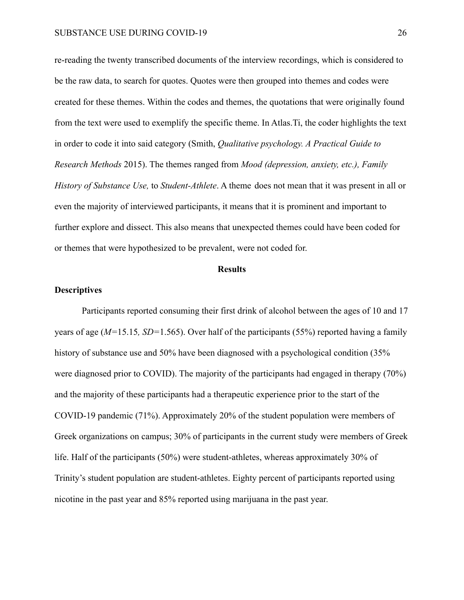re-reading the twenty transcribed documents of the interview recordings, which is considered to be the raw data, to search for quotes. Quotes were then grouped into themes and codes were created for these themes. Within the codes and themes, the quotations that were originally found from the text were used to exemplify the specific theme. In Atlas.Ti, the coder highlights the text in order to code it into said category (Smith, *Qualitative psychology. A Practical Guide to Research Methods* 2015). The themes ranged from *Mood (depression, anxiety, etc.), Family History of Substance Use,* to *Student-Athlete*. A theme does not mean that it was present in all or even the majority of interviewed participants, it means that it is prominent and important to further explore and dissect. This also means that unexpected themes could have been coded for or themes that were hypothesized to be prevalent, were not coded for.

#### **Results**

#### **Descriptives**

Participants reported consuming their first drink of alcohol between the ages of 10 and 17 years of age (*M=*15.15*, SD=*1.565). Over half of the participants (55%) reported having a family history of substance use and 50% have been diagnosed with a psychological condition (35% were diagnosed prior to COVID). The majority of the participants had engaged in therapy (70%) and the majority of these participants had a therapeutic experience prior to the start of the COVID-19 pandemic (71%). Approximately 20% of the student population were members of Greek organizations on campus; 30% of participants in the current study were members of Greek life. Half of the participants (50%) were student-athletes, whereas approximately 30% of Trinity's student population are student-athletes. Eighty percent of participants reported using nicotine in the past year and 85% reported using marijuana in the past year.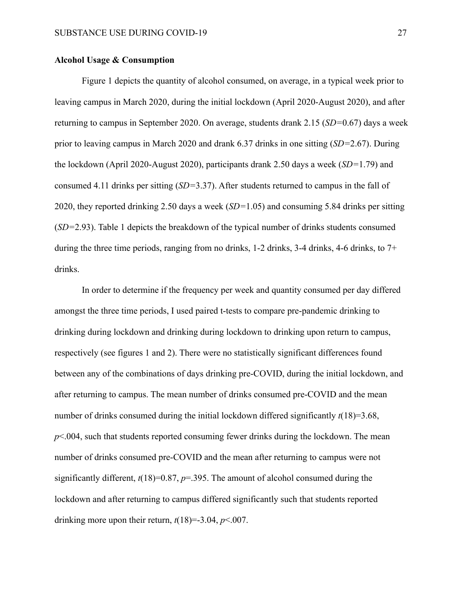## **Alcohol Usage & Consumption**

Figure 1 depicts the quantity of alcohol consumed, on average, in a typical week prior to leaving campus in March 2020, during the initial lockdown (April 2020-August 2020), and after returning to campus in September 2020. On average, students drank 2.15 (*SD=*0.67) days a week prior to leaving campus in March 2020 and drank 6.37 drinks in one sitting (*SD=*2.67). During the lockdown (April 2020-August 2020), participants drank 2.50 days a week (*SD=*1.79) and consumed 4.11 drinks per sitting (*SD=*3.37). After students returned to campus in the fall of 2020, they reported drinking 2.50 days a week (*SD=*1.05) and consuming 5.84 drinks per sitting (*SD=*2.93). Table 1 depicts the breakdown of the typical number of drinks students consumed during the three time periods, ranging from no drinks, 1-2 drinks, 3-4 drinks, 4-6 drinks, to 7+ drinks.

In order to determine if the frequency per week and quantity consumed per day differed amongst the three time periods, I used paired t-tests to compare pre-pandemic drinking to drinking during lockdown and drinking during lockdown to drinking upon return to campus, respectively (see figures 1 and 2). There were no statistically significant differences found between any of the combinations of days drinking pre-COVID, during the initial lockdown, and after returning to campus. The mean number of drinks consumed pre-COVID and the mean number of drinks consumed during the initial lockdown differed significantly  $t(18)=3.68$ ,  $p<.004$ , such that students reported consuming fewer drinks during the lockdown. The mean number of drinks consumed pre-COVID and the mean after returning to campus were not significantly different,  $t(18)=0.87$ ,  $p=.395$ . The amount of alcohol consumed during the lockdown and after returning to campus differed significantly such that students reported drinking more upon their return,  $t(18)=3.04$ ,  $p<.007$ .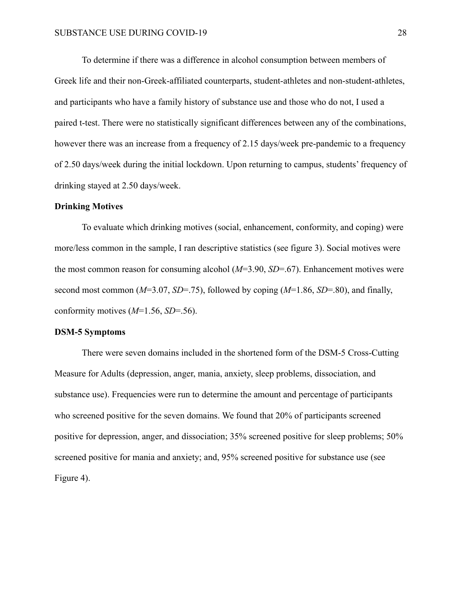To determine if there was a difference in alcohol consumption between members of Greek life and their non-Greek-affiliated counterparts, student-athletes and non-student-athletes, and participants who have a family history of substance use and those who do not, I used a paired t-test. There were no statistically significant differences between any of the combinations, however there was an increase from a frequency of 2.15 days/week pre-pandemic to a frequency of 2.50 days/week during the initial lockdown. Upon returning to campus, students' frequency of drinking stayed at 2.50 days/week.

#### **Drinking Motives**

To evaluate which drinking motives (social, enhancement, conformity, and coping) were more/less common in the sample, I ran descriptive statistics (see figure 3). Social motives were the most common reason for consuming alcohol (*M*=3.90, *SD*=.67). Enhancement motives were second most common (*M*=3.07, *SD*=.75), followed by coping (*M*=1.86, *SD*=.80), and finally, conformity motives (*M*=1.56, *SD*=.56).

#### **DSM-5 Symptoms**

There were seven domains included in the shortened form of the DSM-5 Cross-Cutting Measure for Adults (depression, anger, mania, anxiety, sleep problems, dissociation, and substance use). Frequencies were run to determine the amount and percentage of participants who screened positive for the seven domains. We found that 20% of participants screened positive for depression, anger, and dissociation; 35% screened positive for sleep problems; 50% screened positive for mania and anxiety; and, 95% screened positive for substance use (see Figure 4).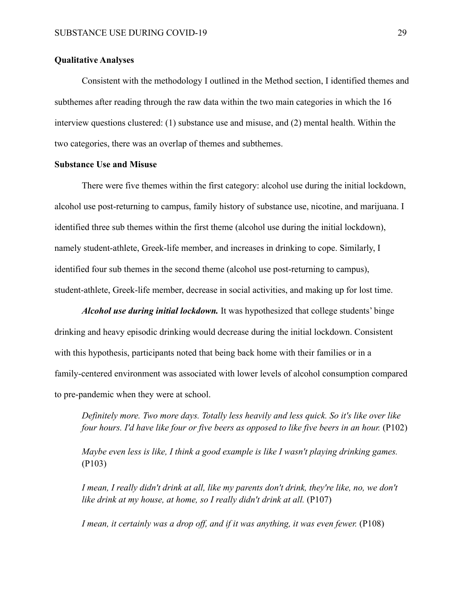## **Qualitative Analyses**

Consistent with the methodology I outlined in the Method section, I identified themes and subthemes after reading through the raw data within the two main categories in which the 16 interview questions clustered: (1) substance use and misuse, and (2) mental health. Within the two categories, there was an overlap of themes and subthemes.

#### **Substance Use and Misuse**

There were five themes within the first category: alcohol use during the initial lockdown, alcohol use post-returning to campus, family history of substance use, nicotine, and marijuana. I identified three sub themes within the first theme (alcohol use during the initial lockdown), namely student-athlete, Greek-life member, and increases in drinking to cope. Similarly, I identified four sub themes in the second theme (alcohol use post-returning to campus), student-athlete, Greek-life member, decrease in social activities, and making up for lost time.

*Alcohol use during initial lockdown.* It was hypothesized that college students' binge drinking and heavy episodic drinking would decrease during the initial lockdown. Consistent with this hypothesis, participants noted that being back home with their families or in a family-centered environment was associated with lower levels of alcohol consumption compared to pre-pandemic when they were at school.

*Definitely more. Two more days. Totally less heavily and less quick. So it's like over like four hours. I'd have like four or five beers as opposed to like five beers in an hour.* (P102)

*Maybe even less is like, I think a good example is like I wasn't playing drinking games.* (P103)

*I mean, I really didn't drink at all, like my parents don't drink, they're like, no, we don't like drink at my house, at home, so I really didn't drink at all.* (P107)

*I mean, it certainly was a drop off, and if it was anything, it was even fewer.* (P108)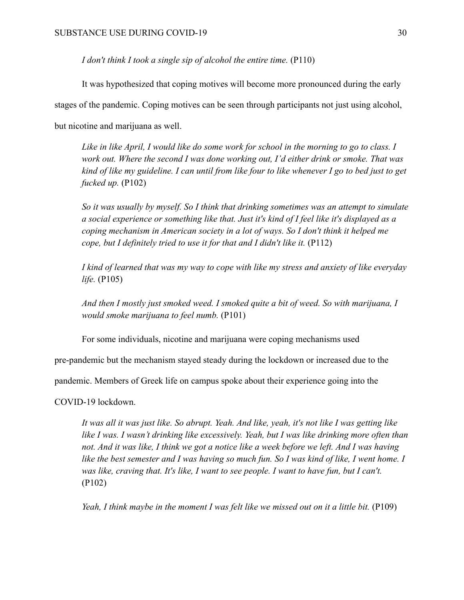*I don't think I took a single sip of alcohol the entire time.* (P110)

It was hypothesized that coping motives will become more pronounced during the early stages of the pandemic. Coping motives can be seen through participants not just using alcohol, but nicotine and marijuana as well.

*Like in like April, I would like do some work for school in the morning to go to class. I work out. Where the second I was done working out, I'd either drink or smoke. That was kind of like my guideline. I can until from like four to like whenever I go to bed just to get fucked up.* (P102)

*So it was usually by myself. So I think that drinking sometimes was an attempt to simulate a social experience or something like that. Just it's kind of I feel like it's displayed as a coping mechanism in American society in a lot of ways. So I don't think it helped me cope, but I definitely tried to use it for that and I didn't like it.* (P112)

*I kind of learned that was my way to cope with like my stress and anxiety of like everyday life.* (P105)

*And then I mostly just smoked weed. I smoked quite a bit of weed. So with marijuana, I would smoke marijuana to feel numb.* (P101)

For some individuals, nicotine and marijuana were coping mechanisms used

pre-pandemic but the mechanism stayed steady during the lockdown or increased due to the

pandemic. Members of Greek life on campus spoke about their experience going into the

COVID-19 lockdown.

*It was all it was just like. So abrupt. Yeah. And like, yeah, it's not like I was getting like like I was. I wasn't drinking like excessively. Yeah, but I was like drinking more often than not. And it was like, I think we got a notice like a week before we left. And I was having like the best semester and I was having so much fun. So I was kind of like, I went home. I was like, craving that. It's like, I want to see people. I want to have fun, but I can't.* (P102)

*Yeah, I think maybe in the moment I was felt like we missed out on it a little bit.* (P109)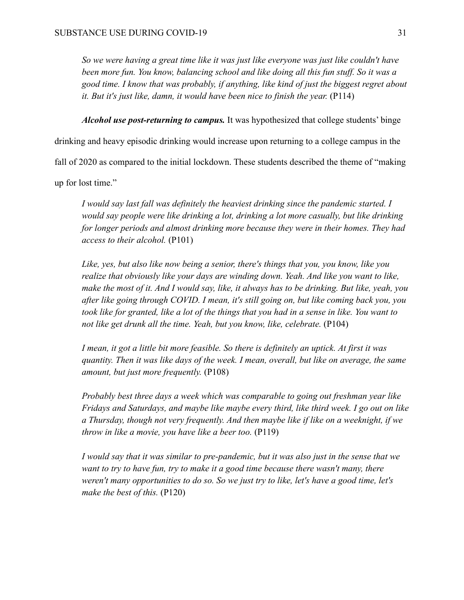*So we were having a great time like it was just like everyone was just like couldn't have been more fun. You know, balancing school and like doing all this fun stuff. So it was a good time. I know that was probably, if anything, like kind of just the biggest regret about it. But it's just like, damn, it would have been nice to finish the year.* (P114)

*Alcohol use post-returning to campus.* It was hypothesized that college students' binge

drinking and heavy episodic drinking would increase upon returning to a college campus in the

fall of 2020 as compared to the initial lockdown. These students described the theme of "making

up for lost time."

*I would say last fall was definitely the heaviest drinking since the pandemic started. I would say people were like drinking a lot, drinking a lot more casually, but like drinking for longer periods and almost drinking more because they were in their homes. They had access to their alcohol.* (P101)

*Like, yes, but also like now being a senior, there's things that you, you know, like you realize that obviously like your days are winding down. Yeah. And like you want to like, make the most of it. And I would say, like, it always has to be drinking. But like, yeah, you after like going through COVID. I mean, it's still going on, but like coming back you, you took like for granted, like a lot of the things that you had in a sense in like. You want to not like get drunk all the time. Yeah, but you know, like, celebrate.* (P104)

*I mean, it got a little bit more feasible. So there is definitely an uptick. At first it was quantity. Then it was like days of the week. I mean, overall, but like on average, the same amount, but just more frequently.* (P108)

*Probably best three days a week which was comparable to going out freshman year like Fridays and Saturdays, and maybe like maybe every third, like third week. I go out on like a Thursday, though not very frequently. And then maybe like if like on a weeknight, if we throw in like a movie, you have like a beer too.* (P119)

*I would say that it was similar to pre-pandemic, but it was also just in the sense that we want to try to have fun, try to make it a good time because there wasn't many, there weren't many opportunities to do so. So we just try to like, let's have a good time, let's make the best of this.* (P120)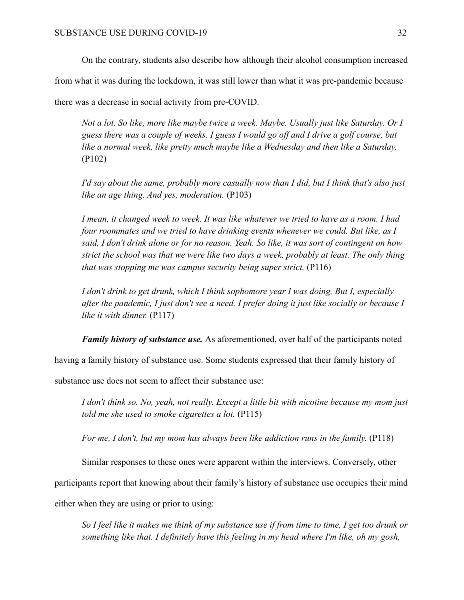On the contrary, students also describe how although their alcohol consumption increased

from what it was during the lockdown, it was still lower than what it was pre-pandemic because

there was a decrease in social activity from pre-COVID.

*Not a lot. So like, more like maybe twice a week. Maybe. Usually just like Saturday. Or I guess there was a couple of weeks. I guess I would go off and I drive a golf course, but like a normal week, like pretty much maybe like a Wednesday and then like a Saturday.* (P102)

*I'd say about the same, probably more casually now than I did, but I think that's also just like an age thing. And yes, moderation.* (P103)

*I mean, it changed week to week. It was like whatever we tried to have as a room. I had four roommates and we tried to have drinking events whenever we could. But like, as I said, I don't drink alone or for no reason. Yeah. So like, it was sort of contingent on how strict the school was that we were like two days a week, probably at least. The only thing that was stopping me was campus security being super strict.* (P116)

*I don't drink to get drunk, which I think sophomore year I was doing. But I, especially after the pandemic, I just don't see a need. I prefer doing it just like socially or because I like it with dinner.* (P117)

*Family history of substance use.* As aforementioned, over half of the participants noted

having a family history of substance use. Some students expressed that their family history of

substance use does not seem to affect their substance use:

*I don't think so. No, yeah, not really. Except a little bit with nicotine because my mom just told me she used to smoke cigarettes a lot.* (P115)

*For me, I don't, but my mom has always been like addiction runs in the family.* (P118)

Similar responses to these ones were apparent within the interviews. Conversely, other

participants report that knowing about their family's history of substance use occupies their mind

either when they are using or prior to using:

*So I feel like it makes me think of my substance use if from time to time, I get too drunk or something like that. I definitely have this feeling in my head where I'm like, oh my gosh,*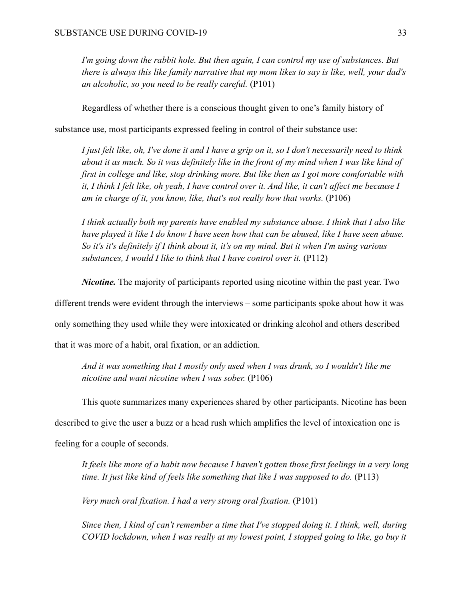*I'm going down the rabbit hole. But then again, I can control my use of substances. But there is always this like family narrative that my mom likes to say is like, well, your dad's an alcoholic, so you need to be really careful.* (P101)

Regardless of whether there is a conscious thought given to one's family history of

substance use, most participants expressed feeling in control of their substance use:

*I just felt like, oh, I've done it and I have a grip on it, so I don't necessarily need to think about it as much. So it was definitely like in the front of my mind when I was like kind of first in college and like, stop drinking more. But like then as I got more comfortable with it, I think I felt like, oh yeah, I have control over it. And like, it can't affect me because I am in charge of it, you know, like, that's not really how that works.* (P106)

*I think actually both my parents have enabled my substance abuse. I think that I also like have played it like I do know I have seen how that can be abused, like I have seen abuse. So it's it's definitely if I think about it, it's on my mind. But it when I'm using various substances, I would I like to think that I have control over it.* (P112)

*Nicotine.* The majority of participants reported using nicotine within the past year. Two

different trends were evident through the interviews – some participants spoke about how it was

only something they used while they were intoxicated or drinking alcohol and others described

that it was more of a habit, oral fixation, or an addiction.

*And it was something that I mostly only used when I was drunk, so I wouldn't like me nicotine and want nicotine when I was sober.* (P106)

This quote summarizes many experiences shared by other participants. Nicotine has been

described to give the user a buzz or a head rush which amplifies the level of intoxication one is

feeling for a couple of seconds.

*It feels like more of a habit now because I haven't gotten those first feelings in a very long time. It just like kind of feels like something that like I was supposed to do.* (P113)

*Very much oral fixation. I had a very strong oral fixation.* (P101)

*Since then, I kind of can't remember a time that I've stopped doing it. I think, well, during COVID lockdown, when I was really at my lowest point, I stopped going to like, go buy it*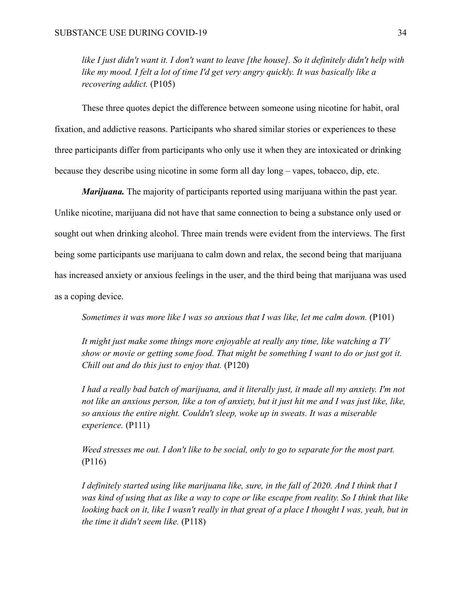*like I just didn't want it. I don't want to leave [the house]. So it definitely didn't help with like my mood. I felt a lot of time I'd get very angry quickly. It was basically like a recovering addict.* (P105)

These three quotes depict the difference between someone using nicotine for habit, oral fixation, and addictive reasons. Participants who shared similar stories or experiences to these three participants differ from participants who only use it when they are intoxicated or drinking because they describe using nicotine in some form all day long – vapes, tobacco, dip, etc.

*Marijuana.* The majority of participants reported using marijuana within the past year. Unlike nicotine, marijuana did not have that same connection to being a substance only used or sought out when drinking alcohol. Three main trends were evident from the interviews. The first being some participants use marijuana to calm down and relax, the second being that marijuana has increased anxiety or anxious feelings in the user, and the third being that marijuana was used as a coping device.

*Sometimes it was more like I was so anxious that I was like, let me calm down.* (P101)

*It might just make some things more enjoyable at really any time, like watching a TV show or movie or getting some food. That might be something I want to do or just got it. Chill out and do this just to enjoy that.* (P120)

*I had a really bad batch of marijuana, and it literally just, it made all my anxiety. I'm not not like an anxious person, like a ton of anxiety, but it just hit me and I was just like, like, so anxious the entire night. Couldn't sleep, woke up in sweats. It was a miserable experience.* (P111)

*Weed stresses me out. I don't like to be social, only to go to separate for the most part.* (P116)

*I definitely started using like marijuana like, sure, in the fall of 2020. And I think that I was kind of using that as like a way to cope or like escape from reality. So I think that like looking back on it, like I wasn't really in that great of a place I thought I was, yeah, but in the time it didn't seem like.* (P118)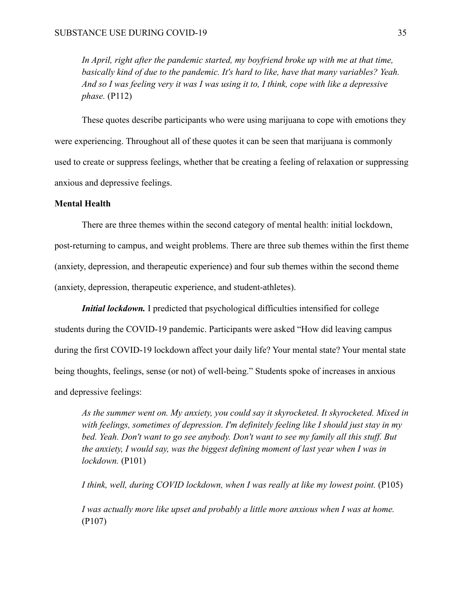*In April, right after the pandemic started, my boyfriend broke up with me at that time, basically kind of due to the pandemic. It's hard to like, have that many variables? Yeah. And so I was feeling very it was I was using it to, I think, cope with like a depressive phase.* (P112)

These quotes describe participants who were using marijuana to cope with emotions they were experiencing. Throughout all of these quotes it can be seen that marijuana is commonly used to create or suppress feelings, whether that be creating a feeling of relaxation or suppressing anxious and depressive feelings.

### **Mental Health**

There are three themes within the second category of mental health: initial lockdown, post-returning to campus, and weight problems. There are three sub themes within the first theme (anxiety, depression, and therapeutic experience) and four sub themes within the second theme (anxiety, depression, therapeutic experience, and student-athletes).

*Initial lockdown.* I predicted that psychological difficulties intensified for college students during the COVID-19 pandemic. Participants were asked "How did leaving campus during the first COVID-19 lockdown affect your daily life? Your mental state? Your mental state being thoughts, feelings, sense (or not) of well-being." Students spoke of increases in anxious and depressive feelings:

*As the summer went on. My anxiety, you could say it skyrocketed. It skyrocketed. Mixed in with feelings, sometimes of depression. I'm definitely feeling like I should just stay in my bed. Yeah. Don't want to go see anybody. Don't want to see my family all this stuff. But the anxiety, I would say, was the biggest defining moment of last year when I was in lockdown.* (P101)

*I think, well, during COVID lockdown, when I was really at like my lowest point.* (P105)

*I was actually more like upset and probably a little more anxious when I was at home.* (P107)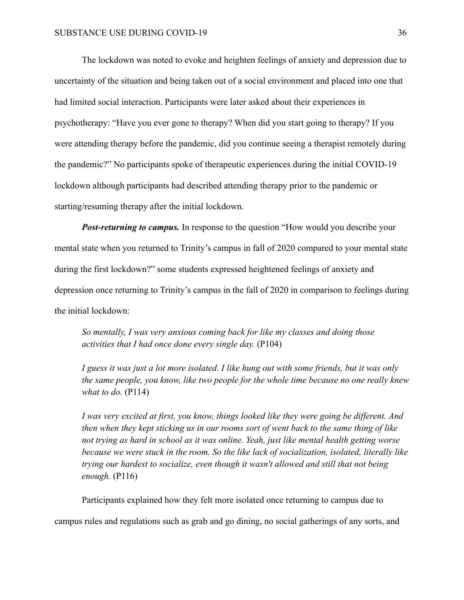The lockdown was noted to evoke and heighten feelings of anxiety and depression due to uncertainty of the situation and being taken out of a social environment and placed into one that had limited social interaction. Participants were later asked about their experiences in psychotherapy: "Have you ever gone to therapy? When did you start going to therapy? If you were attending therapy before the pandemic, did you continue seeing a therapist remotely during the pandemic?" No participants spoke of therapeutic experiences during the initial COVID-19 lockdown although participants had described attending therapy prior to the pandemic or starting/resuming therapy after the initial lockdown.

*Post-returning to campus.* In response to the question "How would you describe your mental state when you returned to Trinity's campus in fall of 2020 compared to your mental state during the first lockdown?" some students expressed heightened feelings of anxiety and depression once returning to Trinity's campus in the fall of 2020 in comparison to feelings during the initial lockdown:

*So mentally, I was very anxious coming back for like my classes and doing those activities that I had once done every single day.* (P104)

*I guess it was just a lot more isolated. I like hung out with some friends, but it was only the same people, you know, like two people for the whole time because no one really knew what to do.* (P114)

*I was very excited at first, you know, things looked like they were going be different. And then when they kept sticking us in our rooms sort of went back to the same thing of like not trying as hard in school as it was online. Yeah, just like mental health getting worse because we were stuck in the room. So the like lack of socialization, isolated, literally like trying our hardest to socialize, even though it wasn't allowed and still that not being enough.* (P116)

Participants explained how they felt more isolated once returning to campus due to campus rules and regulations such as grab and go dining, no social gatherings of any sorts, and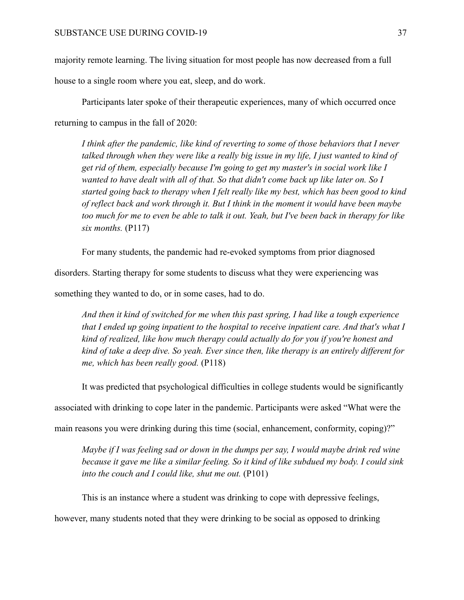majority remote learning. The living situation for most people has now decreased from a full house to a single room where you eat, sleep, and do work.

Participants later spoke of their therapeutic experiences, many of which occurred once returning to campus in the fall of 2020:

*I think after the pandemic, like kind of reverting to some of those behaviors that I never talked through when they were like a really big issue in my life, I just wanted to kind of get rid of them, especially because I'm going to get my master's in social work like I wanted to have dealt with all of that. So that didn't come back up like later on. So I started going back to therapy when I felt really like my best, which has been good to kind of reflect back and work through it. But I think in the moment it would have been maybe too much for me to even be able to talk it out. Yeah, but I've been back in therapy for like six months.* (P117)

For many students, the pandemic had re-evoked symptoms from prior diagnosed

disorders. Starting therapy for some students to discuss what they were experiencing was

something they wanted to do, or in some cases, had to do.

*And then it kind of switched for me when this past spring, I had like a tough experience that I ended up going inpatient to the hospital to receive inpatient care. And that's what I kind of realized, like how much therapy could actually do for you if you're honest and kind of take a deep dive. So yeah. Ever since then, like therapy is an entirely different for me, which has been really good.* (P118)

It was predicted that psychological difficulties in college students would be significantly

associated with drinking to cope later in the pandemic. Participants were asked "What were the

main reasons you were drinking during this time (social, enhancement, conformity, coping)?"

*Maybe if I was feeling sad or down in the dumps per say, I would maybe drink red wine because it gave me like a similar feeling. So it kind of like subdued my body. I could sink into the couch and I could like, shut me out.* (P101)

This is an instance where a student was drinking to cope with depressive feelings,

however, many students noted that they were drinking to be social as opposed to drinking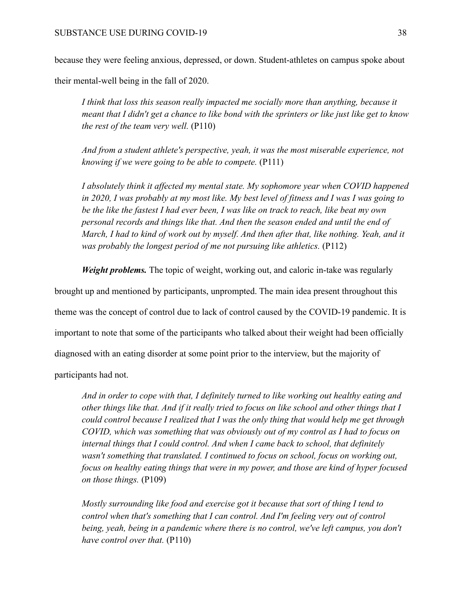because they were feeling anxious, depressed, or down. Student-athletes on campus spoke about

their mental-well being in the fall of 2020.

*I think that loss this season really impacted me socially more than anything, because it meant that I didn't get a chance to like bond with the sprinters or like just like get to know the rest of the team very well.* (P110)

*And from a student athlete's perspective, yeah, it was the most miserable experience, not knowing if we were going to be able to compete.* (P111)

*I absolutely think it affected my mental state. My sophomore year when COVID happened in 2020, I was probably at my most like. My best level of fitness and I was I was going to be the like the fastest I had ever been, I was like on track to reach, like beat my own personal records and things like that. And then the season ended and until the end of March, I had to kind of work out by myself. And then after that, like nothing. Yeah, and it was probably the longest period of me not pursuing like athletics.* (P112)

*Weight problems.* The topic of weight, working out, and caloric in-take was regularly

brought up and mentioned by participants, unprompted. The main idea present throughout this theme was the concept of control due to lack of control caused by the COVID-19 pandemic. It is important to note that some of the participants who talked about their weight had been officially diagnosed with an eating disorder at some point prior to the interview, but the majority of participants had not.

*And in order to cope with that, I definitely turned to like working out healthy eating and other things like that. And if it really tried to focus on like school and other things that I could control because I realized that I was the only thing that would help me get through COVID, which was something that was obviously out of my control as I had to focus on internal things that I could control. And when I came back to school, that definitely wasn't something that translated. I continued to focus on school, focus on working out, focus on healthy eating things that were in my power, and those are kind of hyper focused on those things.* (P109)

*Mostly surrounding like food and exercise got it because that sort of thing I tend to control when that's something that I can control. And I'm feeling very out of control being, yeah, being in a pandemic where there is no control, we've left campus, you don't have control over that.* (P110)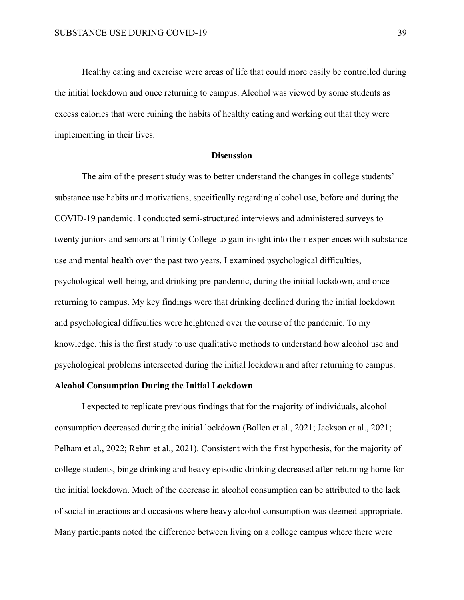Healthy eating and exercise were areas of life that could more easily be controlled during the initial lockdown and once returning to campus. Alcohol was viewed by some students as excess calories that were ruining the habits of healthy eating and working out that they were implementing in their lives.

## **Discussion**

The aim of the present study was to better understand the changes in college students' substance use habits and motivations, specifically regarding alcohol use, before and during the COVID-19 pandemic. I conducted semi-structured interviews and administered surveys to twenty juniors and seniors at Trinity College to gain insight into their experiences with substance use and mental health over the past two years. I examined psychological difficulties, psychological well-being, and drinking pre-pandemic, during the initial lockdown, and once returning to campus. My key findings were that drinking declined during the initial lockdown and psychological difficulties were heightened over the course of the pandemic. To my knowledge, this is the first study to use qualitative methods to understand how alcohol use and psychological problems intersected during the initial lockdown and after returning to campus.

#### **Alcohol Consumption During the Initial Lockdown**

I expected to replicate previous findings that for the majority of individuals, alcohol consumption decreased during the initial lockdown (Bollen et al., 2021; Jackson et al., 2021; Pelham et al., 2022; Rehm et al., 2021). Consistent with the first hypothesis, for the majority of college students, binge drinking and heavy episodic drinking decreased after returning home for the initial lockdown. Much of the decrease in alcohol consumption can be attributed to the lack of social interactions and occasions where heavy alcohol consumption was deemed appropriate. Many participants noted the difference between living on a college campus where there were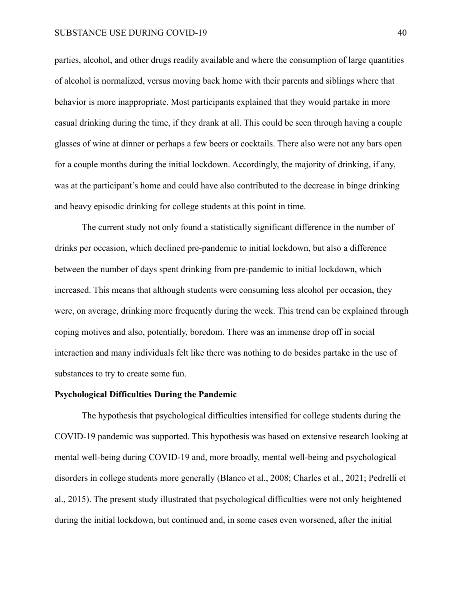parties, alcohol, and other drugs readily available and where the consumption of large quantities of alcohol is normalized, versus moving back home with their parents and siblings where that behavior is more inappropriate. Most participants explained that they would partake in more casual drinking during the time, if they drank at all. This could be seen through having a couple glasses of wine at dinner or perhaps a few beers or cocktails. There also were not any bars open for a couple months during the initial lockdown. Accordingly, the majority of drinking, if any, was at the participant's home and could have also contributed to the decrease in binge drinking and heavy episodic drinking for college students at this point in time.

The current study not only found a statistically significant difference in the number of drinks per occasion, which declined pre-pandemic to initial lockdown, but also a difference between the number of days spent drinking from pre-pandemic to initial lockdown, which increased. This means that although students were consuming less alcohol per occasion, they were, on average, drinking more frequently during the week. This trend can be explained through coping motives and also, potentially, boredom. There was an immense drop off in social interaction and many individuals felt like there was nothing to do besides partake in the use of substances to try to create some fun.

#### **Psychological Difficulties During the Pandemic**

The hypothesis that psychological difficulties intensified for college students during the COVID-19 pandemic was supported. This hypothesis was based on extensive research looking at mental well-being during COVID-19 and, more broadly, mental well-being and psychological disorders in college students more generally (Blanco et al., 2008; Charles et al., 2021; Pedrelli et al., 2015). The present study illustrated that psychological difficulties were not only heightened during the initial lockdown, but continued and, in some cases even worsened, after the initial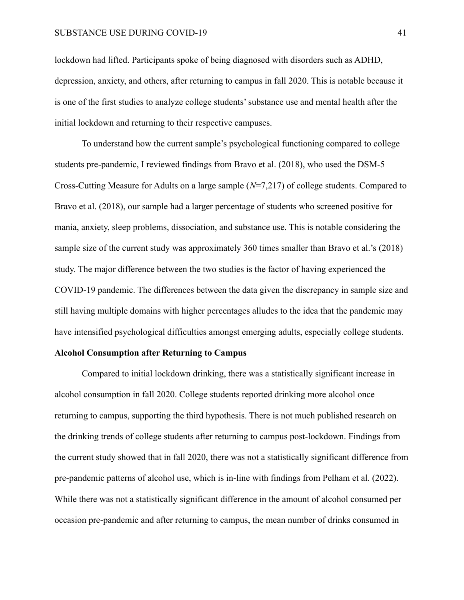lockdown had lifted. Participants spoke of being diagnosed with disorders such as ADHD, depression, anxiety, and others, after returning to campus in fall 2020. This is notable because it is one of the first studies to analyze college students' substance use and mental health after the initial lockdown and returning to their respective campuses.

To understand how the current sample's psychological functioning compared to college students pre-pandemic, I reviewed findings from Bravo et al. (2018), who used the DSM-5 Cross-Cutting Measure for Adults on a large sample (*N*=7,217) of college students. Compared to Bravo et al. (2018), our sample had a larger percentage of students who screened positive for mania, anxiety, sleep problems, dissociation, and substance use. This is notable considering the sample size of the current study was approximately 360 times smaller than Bravo et al.'s (2018) study. The major difference between the two studies is the factor of having experienced the COVID-19 pandemic. The differences between the data given the discrepancy in sample size and still having multiple domains with higher percentages alludes to the idea that the pandemic may have intensified psychological difficulties amongst emerging adults, especially college students.

#### **Alcohol Consumption after Returning to Campus**

Compared to initial lockdown drinking, there was a statistically significant increase in alcohol consumption in fall 2020. College students reported drinking more alcohol once returning to campus, supporting the third hypothesis. There is not much published research on the drinking trends of college students after returning to campus post-lockdown. Findings from the current study showed that in fall 2020, there was not a statistically significant difference from pre-pandemic patterns of alcohol use, which is in-line with findings from Pelham et al. (2022). While there was not a statistically significant difference in the amount of alcohol consumed per occasion pre-pandemic and after returning to campus, the mean number of drinks consumed in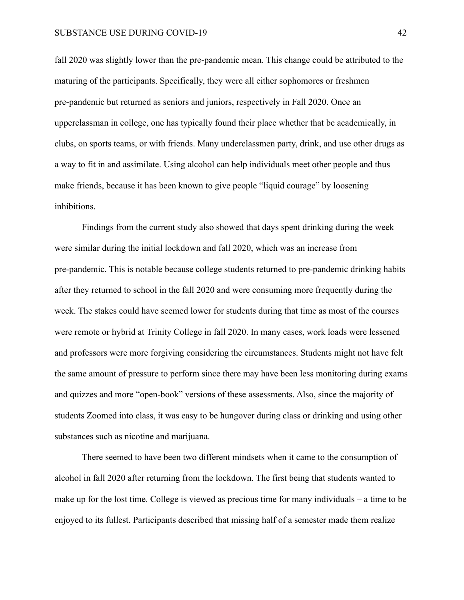#### SUBSTANCE USE DURING COVID-19 42

fall 2020 was slightly lower than the pre-pandemic mean. This change could be attributed to the maturing of the participants. Specifically, they were all either sophomores or freshmen pre-pandemic but returned as seniors and juniors, respectively in Fall 2020. Once an upperclassman in college, one has typically found their place whether that be academically, in clubs, on sports teams, or with friends. Many underclassmen party, drink, and use other drugs as a way to fit in and assimilate. Using alcohol can help individuals meet other people and thus make friends, because it has been known to give people "liquid courage" by loosening inhibitions.

Findings from the current study also showed that days spent drinking during the week were similar during the initial lockdown and fall 2020, which was an increase from pre-pandemic. This is notable because college students returned to pre-pandemic drinking habits after they returned to school in the fall 2020 and were consuming more frequently during the week. The stakes could have seemed lower for students during that time as most of the courses were remote or hybrid at Trinity College in fall 2020. In many cases, work loads were lessened and professors were more forgiving considering the circumstances. Students might not have felt the same amount of pressure to perform since there may have been less monitoring during exams and quizzes and more "open-book" versions of these assessments. Also, since the majority of students Zoomed into class, it was easy to be hungover during class or drinking and using other substances such as nicotine and marijuana.

There seemed to have been two different mindsets when it came to the consumption of alcohol in fall 2020 after returning from the lockdown. The first being that students wanted to make up for the lost time. College is viewed as precious time for many individuals – a time to be enjoyed to its fullest. Participants described that missing half of a semester made them realize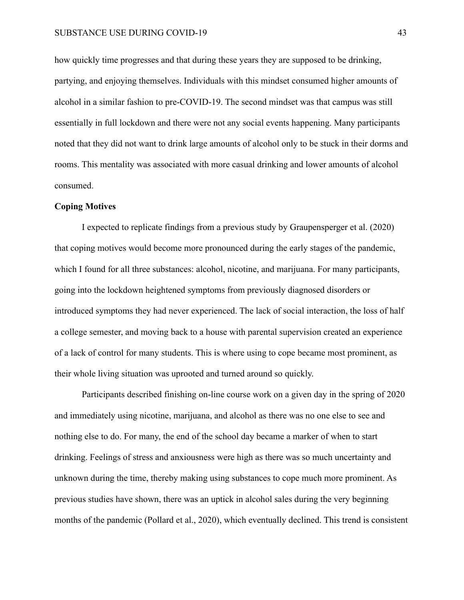how quickly time progresses and that during these years they are supposed to be drinking, partying, and enjoying themselves. Individuals with this mindset consumed higher amounts of alcohol in a similar fashion to pre-COVID-19. The second mindset was that campus was still essentially in full lockdown and there were not any social events happening. Many participants noted that they did not want to drink large amounts of alcohol only to be stuck in their dorms and rooms. This mentality was associated with more casual drinking and lower amounts of alcohol consumed.

## **Coping Motives**

I expected to replicate findings from a previous study by Graupensperger et al. (2020) that coping motives would become more pronounced during the early stages of the pandemic, which I found for all three substances: alcohol, nicotine, and marijuana. For many participants, going into the lockdown heightened symptoms from previously diagnosed disorders or introduced symptoms they had never experienced. The lack of social interaction, the loss of half a college semester, and moving back to a house with parental supervision created an experience of a lack of control for many students. This is where using to cope became most prominent, as their whole living situation was uprooted and turned around so quickly.

Participants described finishing on-line course work on a given day in the spring of 2020 and immediately using nicotine, marijuana, and alcohol as there was no one else to see and nothing else to do. For many, the end of the school day became a marker of when to start drinking. Feelings of stress and anxiousness were high as there was so much uncertainty and unknown during the time, thereby making using substances to cope much more prominent. As previous studies have shown, there was an uptick in alcohol sales during the very beginning months of the pandemic (Pollard et al., 2020), which eventually declined. This trend is consistent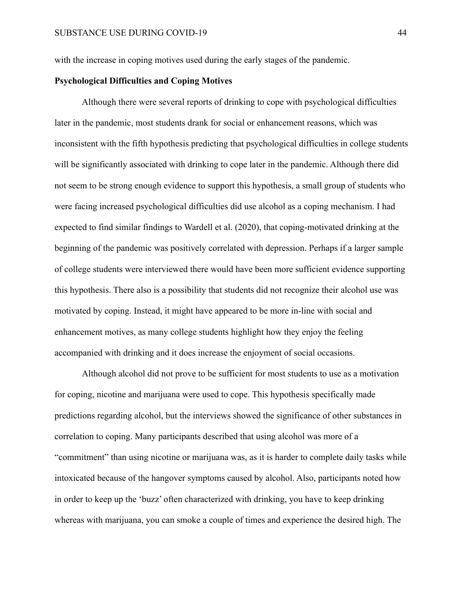with the increase in coping motives used during the early stages of the pandemic.

## **Psychological Difficulties and Coping Motives**

Although there were several reports of drinking to cope with psychological difficulties later in the pandemic, most students drank for social or enhancement reasons, which was inconsistent with the fifth hypothesis predicting that psychological difficulties in college students will be significantly associated with drinking to cope later in the pandemic. Although there did not seem to be strong enough evidence to support this hypothesis, a small group of students who were facing increased psychological difficulties did use alcohol as a coping mechanism. I had expected to find similar findings to Wardell et al. (2020), that coping-motivated drinking at the beginning of the pandemic was positively correlated with depression. Perhaps if a larger sample of college students were interviewed there would have been more sufficient evidence supporting this hypothesis. There also is a possibility that students did not recognize their alcohol use was motivated by coping. Instead, it might have appeared to be more in-line with social and enhancement motives, as many college students highlight how they enjoy the feeling accompanied with drinking and it does increase the enjoyment of social occasions.

Although alcohol did not prove to be sufficient for most students to use as a motivation for coping, nicotine and marijuana were used to cope. This hypothesis specifically made predictions regarding alcohol, but the interviews showed the significance of other substances in correlation to coping. Many participants described that using alcohol was more of a "commitment" than using nicotine or marijuana was, as it is harder to complete daily tasks while intoxicated because of the hangover symptoms caused by alcohol. Also, participants noted how in order to keep up the 'buzz' often characterized with drinking, you have to keep drinking whereas with marijuana, you can smoke a couple of times and experience the desired high. The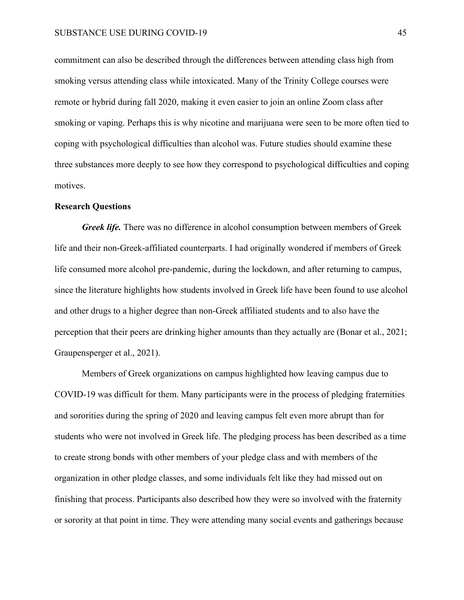commitment can also be described through the differences between attending class high from smoking versus attending class while intoxicated. Many of the Trinity College courses were remote or hybrid during fall 2020, making it even easier to join an online Zoom class after smoking or vaping. Perhaps this is why nicotine and marijuana were seen to be more often tied to coping with psychological difficulties than alcohol was. Future studies should examine these three substances more deeply to see how they correspond to psychological difficulties and coping motives.

#### **Research Questions**

*Greek life.* There was no difference in alcohol consumption between members of Greek life and their non-Greek-affiliated counterparts. I had originally wondered if members of Greek life consumed more alcohol pre-pandemic, during the lockdown, and after returning to campus, since the literature highlights how students involved in Greek life have been found to use alcohol and other drugs to a higher degree than non-Greek affiliated students and to also have the perception that their peers are drinking higher amounts than they actually are (Bonar et al., 2021; Graupensperger et al., 2021).

Members of Greek organizations on campus highlighted how leaving campus due to COVID-19 was difficult for them. Many participants were in the process of pledging fraternities and sororities during the spring of 2020 and leaving campus felt even more abrupt than for students who were not involved in Greek life. The pledging process has been described as a time to create strong bonds with other members of your pledge class and with members of the organization in other pledge classes, and some individuals felt like they had missed out on finishing that process. Participants also described how they were so involved with the fraternity or sorority at that point in time. They were attending many social events and gatherings because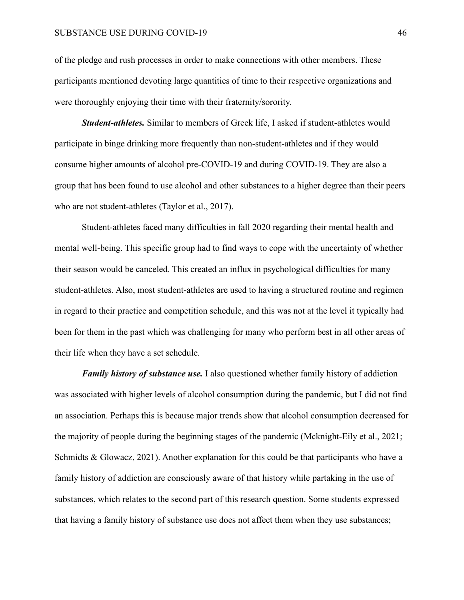of the pledge and rush processes in order to make connections with other members. These participants mentioned devoting large quantities of time to their respective organizations and were thoroughly enjoying their time with their fraternity/sorority.

*Student-athletes.* Similar to members of Greek life, I asked if student-athletes would participate in binge drinking more frequently than non-student-athletes and if they would consume higher amounts of alcohol pre-COVID-19 and during COVID-19. They are also a group that has been found to use alcohol and other substances to a higher degree than their peers who are not student-athletes (Taylor et al., 2017).

Student-athletes faced many difficulties in fall 2020 regarding their mental health and mental well-being. This specific group had to find ways to cope with the uncertainty of whether their season would be canceled. This created an influx in psychological difficulties for many student-athletes. Also, most student-athletes are used to having a structured routine and regimen in regard to their practice and competition schedule, and this was not at the level it typically had been for them in the past which was challenging for many who perform best in all other areas of their life when they have a set schedule.

*Family history of substance use.* I also questioned whether family history of addiction was associated with higher levels of alcohol consumption during the pandemic, but I did not find an association. Perhaps this is because major trends show that alcohol consumption decreased for the majority of people during the beginning stages of the pandemic (Mcknight-Eily et al., 2021; Schmidts & Glowacz, 2021). Another explanation for this could be that participants who have a family history of addiction are consciously aware of that history while partaking in the use of substances, which relates to the second part of this research question. Some students expressed that having a family history of substance use does not affect them when they use substances;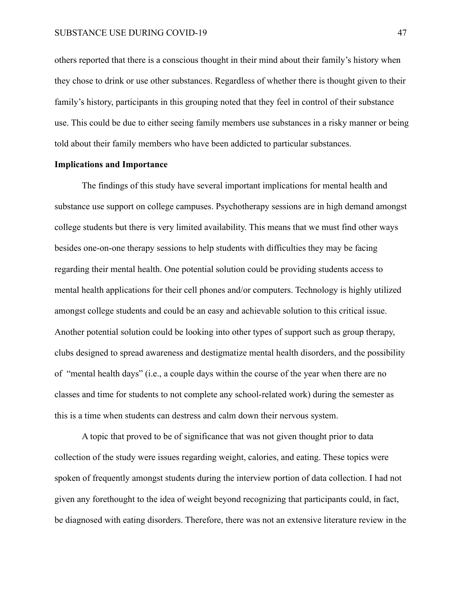others reported that there is a conscious thought in their mind about their family's history when they chose to drink or use other substances. Regardless of whether there is thought given to their family's history, participants in this grouping noted that they feel in control of their substance use. This could be due to either seeing family members use substances in a risky manner or being told about their family members who have been addicted to particular substances.

#### **Implications and Importance**

The findings of this study have several important implications for mental health and substance use support on college campuses. Psychotherapy sessions are in high demand amongst college students but there is very limited availability. This means that we must find other ways besides one-on-one therapy sessions to help students with difficulties they may be facing regarding their mental health. One potential solution could be providing students access to mental health applications for their cell phones and/or computers. Technology is highly utilized amongst college students and could be an easy and achievable solution to this critical issue. Another potential solution could be looking into other types of support such as group therapy, clubs designed to spread awareness and destigmatize mental health disorders, and the possibility of "mental health days" (i.e., a couple days within the course of the year when there are no classes and time for students to not complete any school-related work) during the semester as this is a time when students can destress and calm down their nervous system.

A topic that proved to be of significance that was not given thought prior to data collection of the study were issues regarding weight, calories, and eating. These topics were spoken of frequently amongst students during the interview portion of data collection. I had not given any forethought to the idea of weight beyond recognizing that participants could, in fact, be diagnosed with eating disorders. Therefore, there was not an extensive literature review in the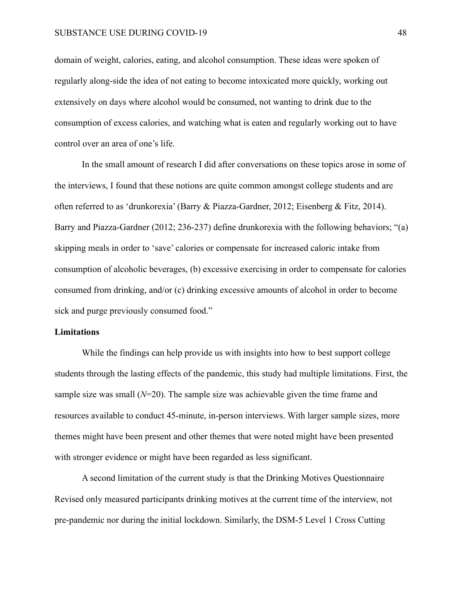domain of weight, calories, eating, and alcohol consumption. These ideas were spoken of regularly along-side the idea of not eating to become intoxicated more quickly, working out extensively on days where alcohol would be consumed, not wanting to drink due to the consumption of excess calories, and watching what is eaten and regularly working out to have control over an area of one's life.

In the small amount of research I did after conversations on these topics arose in some of the interviews, I found that these notions are quite common amongst college students and are often referred to as 'drunkorexia' (Barry & Piazza-Gardner, 2012; Eisenberg & Fitz, 2014). Barry and Piazza-Gardner (2012; 236-237) define drunkorexia with the following behaviors; "(a) skipping meals in order to 'save' calories or compensate for increased caloric intake from consumption of alcoholic beverages, (b) excessive exercising in order to compensate for calories consumed from drinking, and/or (c) drinking excessive amounts of alcohol in order to become sick and purge previously consumed food."

## **Limitations**

While the findings can help provide us with insights into how to best support college students through the lasting effects of the pandemic, this study had multiple limitations. First, the sample size was small  $(N=20)$ . The sample size was achievable given the time frame and resources available to conduct 45-minute, in-person interviews. With larger sample sizes, more themes might have been present and other themes that were noted might have been presented with stronger evidence or might have been regarded as less significant.

A second limitation of the current study is that the Drinking Motives Questionnaire Revised only measured participants drinking motives at the current time of the interview, not pre-pandemic nor during the initial lockdown. Similarly, the DSM-5 Level 1 Cross Cutting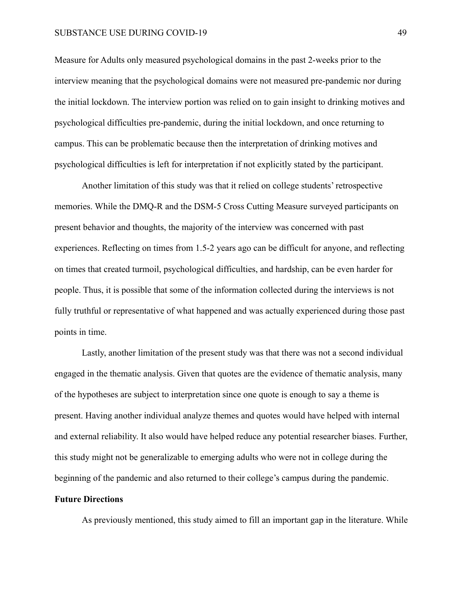#### SUBSTANCE USE DURING COVID-19 49

Measure for Adults only measured psychological domains in the past 2-weeks prior to the interview meaning that the psychological domains were not measured pre-pandemic nor during the initial lockdown. The interview portion was relied on to gain insight to drinking motives and psychological difficulties pre-pandemic, during the initial lockdown, and once returning to campus. This can be problematic because then the interpretation of drinking motives and psychological difficulties is left for interpretation if not explicitly stated by the participant.

Another limitation of this study was that it relied on college students' retrospective memories. While the DMQ-R and the DSM-5 Cross Cutting Measure surveyed participants on present behavior and thoughts, the majority of the interview was concerned with past experiences. Reflecting on times from 1.5-2 years ago can be difficult for anyone, and reflecting on times that created turmoil, psychological difficulties, and hardship, can be even harder for people. Thus, it is possible that some of the information collected during the interviews is not fully truthful or representative of what happened and was actually experienced during those past points in time.

Lastly, another limitation of the present study was that there was not a second individual engaged in the thematic analysis. Given that quotes are the evidence of thematic analysis, many of the hypotheses are subject to interpretation since one quote is enough to say a theme is present. Having another individual analyze themes and quotes would have helped with internal and external reliability. It also would have helped reduce any potential researcher biases. Further, this study might not be generalizable to emerging adults who were not in college during the beginning of the pandemic and also returned to their college's campus during the pandemic.

## **Future Directions**

As previously mentioned, this study aimed to fill an important gap in the literature. While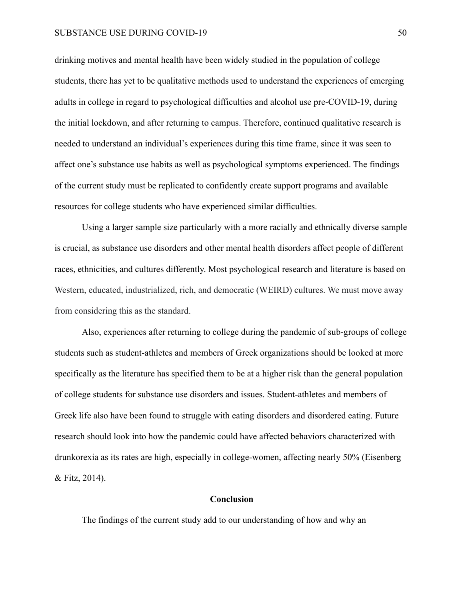#### SUBSTANCE USE DURING COVID-19 50

drinking motives and mental health have been widely studied in the population of college students, there has yet to be qualitative methods used to understand the experiences of emerging adults in college in regard to psychological difficulties and alcohol use pre-COVID-19, during the initial lockdown, and after returning to campus. Therefore, continued qualitative research is needed to understand an individual's experiences during this time frame, since it was seen to affect one's substance use habits as well as psychological symptoms experienced. The findings of the current study must be replicated to confidently create support programs and available resources for college students who have experienced similar difficulties.

Using a larger sample size particularly with a more racially and ethnically diverse sample is crucial, as substance use disorders and other mental health disorders affect people of different races, ethnicities, and cultures differently. Most psychological research and literature is based on Western, educated, industrialized, rich, and democratic (WEIRD) cultures. We must move away from considering this as the standard.

Also, experiences after returning to college during the pandemic of sub-groups of college students such as student-athletes and members of Greek organizations should be looked at more specifically as the literature has specified them to be at a higher risk than the general population of college students for substance use disorders and issues. Student-athletes and members of Greek life also have been found to struggle with eating disorders and disordered eating. Future research should look into how the pandemic could have affected behaviors characterized with drunkorexia as its rates are high, especially in college-women, affecting nearly 50% (Eisenberg & Fitz, 2014).

## **Conclusion**

The findings of the current study add to our understanding of how and why an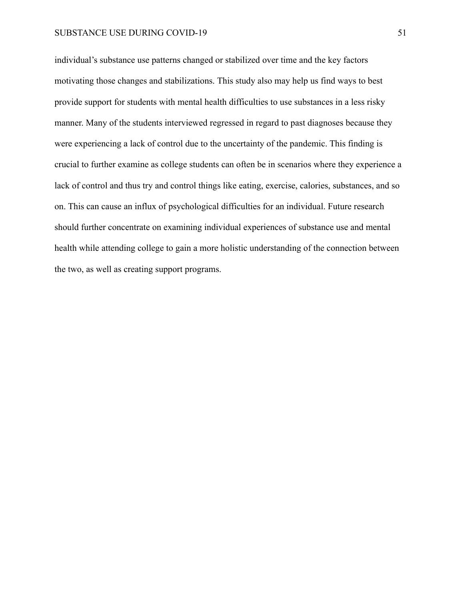individual's substance use patterns changed or stabilized over time and the key factors motivating those changes and stabilizations. This study also may help us find ways to best provide support for students with mental health difficulties to use substances in a less risky manner. Many of the students interviewed regressed in regard to past diagnoses because they were experiencing a lack of control due to the uncertainty of the pandemic. This finding is crucial to further examine as college students can often be in scenarios where they experience a lack of control and thus try and control things like eating, exercise, calories, substances, and so on. This can cause an influx of psychological difficulties for an individual. Future research should further concentrate on examining individual experiences of substance use and mental health while attending college to gain a more holistic understanding of the connection between the two, as well as creating support programs.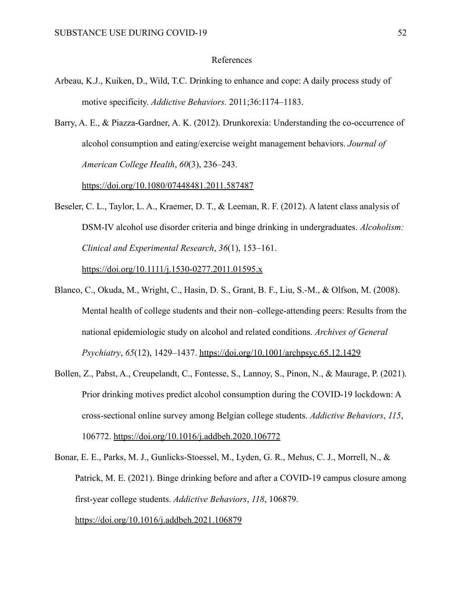#### References

- Arbeau, K.J., Kuiken, D., Wild, T.C. Drinking to enhance and cope: A daily process study of motive specificity. *Addictive Behaviors.* 2011;36:1174–1183.
- Barry, A. E., & Piazza-Gardner, A. K. (2012). Drunkorexia: Understanding the co-occurrence of alcohol consumption and eating/exercise weight management behaviors. *Journal of American College Health*, *60*(3), 236–243.

<https://doi.org/10.1080/07448481.2011.587487>

Beseler, C. L., Taylor, L. A., Kraemer, D. T., & Leeman, R. F. (2012). A latent class analysis of DSM-IV alcohol use disorder criteria and binge drinking in undergraduates. *Alcoholism: Clinical and Experimental Research*, *36*(1), 153–161.

<https://doi.org/10.1111/j.1530-0277.2011.01595.x>

- Blanco, C., Okuda, M., Wright, C., Hasin, D. S., Grant, B. F., Liu, S.-M., & Olfson, M. (2008). Mental health of college students and their non–college-attending peers: Results from the national epidemiologic study on alcohol and related conditions. *Archives of General Psychiatry*, *65*(12), 1429–1437. <https://doi.org/10.1001/archpsyc.65.12.1429>
- Bollen, Z., Pabst, A., Creupelandt, C., Fontesse, S., Lannoy, S., Pinon, N., & Maurage, P. (2021). Prior drinking motives predict alcohol consumption during the COVID-19 lockdown: A cross-sectional online survey among Belgian college students. *Addictive Behaviors*, *115*, 106772. <https://doi.org/10.1016/j.addbeh.2020.106772>
- Bonar, E. E., Parks, M. J., Gunlicks-Stoessel, M., Lyden, G. R., Mehus, C. J., Morrell, N., & Patrick, M. E. (2021). Binge drinking before and after a COVID-19 campus closure among first-year college students. *Addictive Behaviors*, *118*, 106879. <https://doi.org/10.1016/j.addbeh.2021.106879>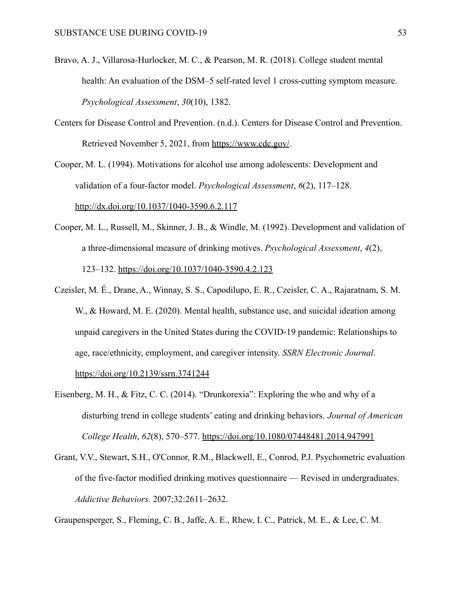- Bravo, A. J., Villarosa-Hurlocker, M. C., & Pearson, M. R. (2018). College student mental health: An evaluation of the DSM–5 self-rated level 1 cross-cutting symptom measure. *Psychological Assessment*, *30*(10), 1382.
- Centers for Disease Control and Prevention. (n.d.). Centers for Disease Control and Prevention. Retrieved November 5, 2021, from <https://www.cdc.gov/>.

Cooper, M. L. (1994). Motivations for alcohol use among adolescents: Development and validation of a four-factor model. *Psychological Assessment*, *6*(2), 117–128. <http://dx.doi.org/10.1037/1040-3590.6.2.117>

- Cooper, M. L., Russell, M., Skinner, J. B., & Windle, M. (1992). Development and validation of a three-dimensional measure of drinking motives. *Psychological Assessment*, *4*(2), 123–132. <https://doi.org/10.1037/1040-3590.4.2.123>
- Czeisler, M. É., Drane, A., Winnay, S. S., Capodilupo, E. R., Czeisler, C. A., Rajaratnam, S. M. W., & Howard, M. E. (2020). Mental health, substance use, and suicidal ideation among unpaid caregivers in the United States during the COVID-19 pandemic: Relationships to age, race/ethnicity, employment, and caregiver intensity. *SSRN Electronic Journal*. <https://doi.org/10.2139/ssrn.3741244>
- Eisenberg, M. H., & Fitz, C. C. (2014). "Drunkorexia": Exploring the who and why of a disturbing trend in college students' eating and drinking behaviors. *Journal of American College Health*, *62*(8), 570–577. <https://doi.org/10.1080/07448481.2014.947991>
- Grant, V.V., Stewart, S.H., O'Connor, R.M., Blackwell, E., Conrod, P.J. Psychometric evaluation of the five-factor modified drinking motives questionnaire — Revised in undergraduates. *Addictive Behaviors.* 2007;32:2611–2632.

Graupensperger, S., Fleming, C. B., Jaffe, A. E., Rhew, I. C., Patrick, M. E., & Lee, C. M.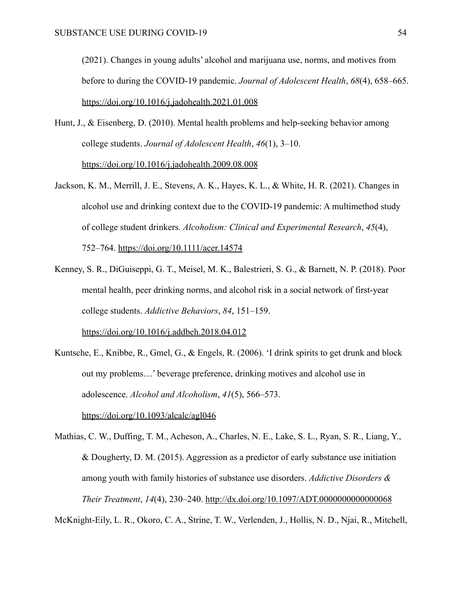(2021). Changes in young adults' alcohol and marijuana use, norms, and motives from before to during the COVID-19 pandemic. *Journal of Adolescent Health*, *68*(4), 658–665. <https://doi.org/10.1016/j.jadohealth.2021.01.008>

- Hunt, J., & Eisenberg, D. (2010). Mental health problems and help-seeking behavior among college students. *Journal of Adolescent Health*, *46*(1), 3–10. <https://doi.org/10.1016/j.jadohealth.2009.08.008>
- Jackson, K. M., Merrill, J. E., Stevens, A. K., Hayes, K. L., & White, H. R. (2021). Changes in alcohol use and drinking context due to the COVID-19 pandemic: A multimethod study of college student drinkers. *Alcoholism: Clinical and Experimental Research*, *45*(4), 752–764. <https://doi.org/10.1111/acer.14574>
- Kenney, S. R., DiGuiseppi, G. T., Meisel, M. K., Balestrieri, S. G., & Barnett, N. P. (2018). Poor mental health, peer drinking norms, and alcohol risk in a social network of first-year college students. *Addictive Behaviors*, *84*, 151–159. <https://doi.org/10.1016/j.addbeh.2018.04.012>
- Kuntsche, E., Knibbe, R., Gmel, G., & Engels, R. (2006). 'I drink spirits to get drunk and block out my problems…' beverage preference, drinking motives and alcohol use in adolescence. *Alcohol and Alcoholism*, *41*(5), 566–573. <https://doi.org/10.1093/alcalc/agl046>

Mathias, C. W., Duffing, T. M., Acheson, A., Charles, N. E., Lake, S. L., Ryan, S. R., Liang, Y., & Dougherty, D. M. (2015). Aggression as a predictor of early substance use initiation among youth with family histories of substance use disorders. *Addictive Disorders & Their Treatment*, *14*(4), 230–240. <http://dx.doi.org/10.1097/ADT.0000000000000068>

McKnight-Eily, L. R., Okoro, C. A., Strine, T. W., Verlenden, J., Hollis, N. D., Njai, R., Mitchell,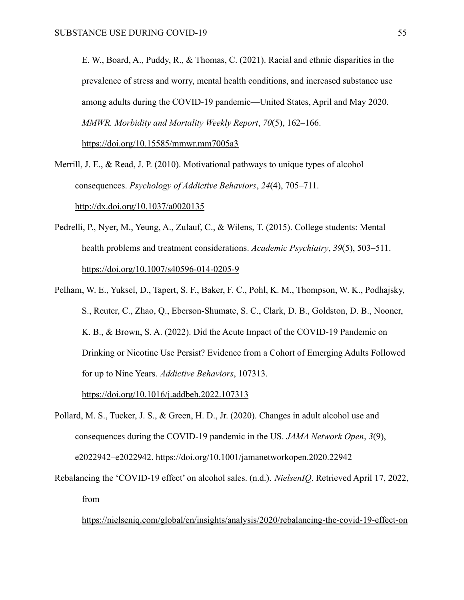E. W., Board, A., Puddy, R., & Thomas, C. (2021). Racial and ethnic disparities in the prevalence of stress and worry, mental health conditions, and increased substance use among adults during the COVID-19 pandemic—United States, April and May 2020. *MMWR. Morbidity and Mortality Weekly Report*, *70*(5), 162–166. <https://doi.org/10.15585/mmwr.mm7005a3>

Merrill, J. E., & Read, J. P. (2010). Motivational pathways to unique types of alcohol consequences. *Psychology of Addictive Behaviors*, *24*(4), 705–711. <http://dx.doi.org/10.1037/a0020135>

- Pedrelli, P., Nyer, M., Yeung, A., Zulauf, C., & Wilens, T. (2015). College students: Mental health problems and treatment considerations. *Academic Psychiatry*, *39*(5), 503–511. <https://doi.org/10.1007/s40596-014-0205-9>
- Pelham, W. E., Yuksel, D., Tapert, S. F., Baker, F. C., Pohl, K. M., Thompson, W. K., Podhajsky, S., Reuter, C., Zhao, Q., Eberson-Shumate, S. C., Clark, D. B., Goldston, D. B., Nooner, K. B., & Brown, S. A. (2022). Did the Acute Impact of the COVID-19 Pandemic on Drinking or Nicotine Use Persist? Evidence from a Cohort of Emerging Adults Followed for up to Nine Years. *Addictive Behaviors*, 107313.

<https://doi.org/10.1016/j.addbeh.2022.107313>

- Pollard, M. S., Tucker, J. S., & Green, H. D., Jr. (2020). Changes in adult alcohol use and consequences during the COVID-19 pandemic in the US. *JAMA Network Open*, *3*(9), e2022942–e2022942. <https://doi.org/10.1001/jamanetworkopen.2020.22942>
- Rebalancing the 'COVID-19 effect' on alcohol sales. (n.d.). *NielsenIQ*. Retrieved April 17, 2022, from

[https://nielseniq.com/global/en/insights/analysis/2020/rebalancing-the-covid-19-effect-on](https://nielseniq.com/global/en/insights/analysis/2020/rebalancing-the-covid-19-effect-on-alcohol-sales/)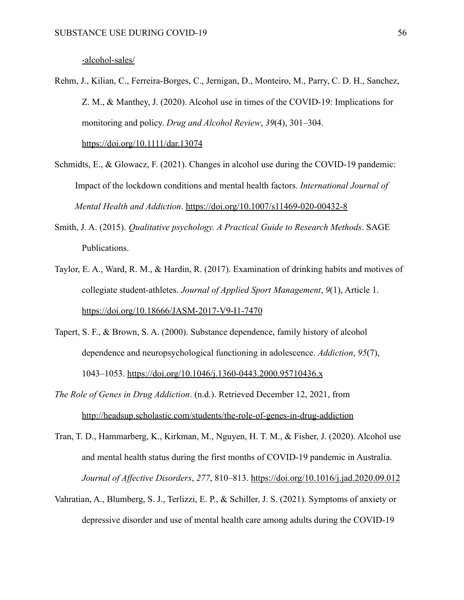- Rehm, J., Kilian, C., Ferreira-Borges, C., Jernigan, D., Monteiro, M., Parry, C. D. H., Sanchez, Z. M., & Manthey, J. (2020). Alcohol use in times of the COVID-19: Implications for monitoring and policy. *Drug and Alcohol Review*, *39*(4), 301–304. <https://doi.org/10.1111/dar.13074>
- Schmidts, E., & Glowacz, F. (2021). Changes in alcohol use during the COVID-19 pandemic: Impact of the lockdown conditions and mental health factors. *International Journal of Mental Health and Addiction*. <https://doi.org/10.1007/s11469-020-00432-8>
- Smith, J. A. (2015). *Qualitative psychology. A Practical Guide to Research Methods*. SAGE Publications.
- Taylor, E. A., Ward, R. M., & Hardin, R. (2017). Examination of drinking habits and motives of collegiate student-athletes. *Journal of Applied Sport Management*, *9*(1), Article 1. <https://doi.org/10.18666/JASM-2017-V9-I1-7470>
- Tapert, S. F., & Brown, S. A. (2000). Substance dependence, family history of alcohol dependence and neuropsychological functioning in adolescence. *Addiction*, *95*(7), 1043–1053. <https://doi.org/10.1046/j.1360-0443.2000.95710436.x>
- *The Role of Genes in Drug Addiction*. (n.d.). Retrieved December 12, 2021, from <http://headsup.scholastic.com/students/the-role-of-genes-in-drug-addiction>
- Tran, T. D., Hammarberg, K., Kirkman, M., Nguyen, H. T. M., & Fisher, J. (2020). Alcohol use and mental health status during the first months of COVID-19 pandemic in Australia. *Journal of Affective Disorders*, *277*, 810–813. <https://doi.org/10.1016/j.jad.2020.09.012>
- Vahratian, A., Blumberg, S. J., Terlizzi, E. P., & Schiller, J. S. (2021). Symptoms of anxiety or depressive disorder and use of mental health care among adults during the COVID-19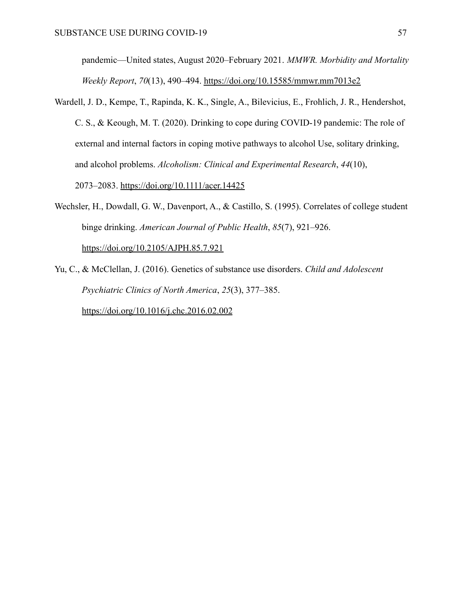pandemic—United states, August 2020–February 2021. *MMWR. Morbidity and Mortality Weekly Report*, *70*(13), 490–494. <https://doi.org/10.15585/mmwr.mm7013e2>

- Wardell, J. D., Kempe, T., Rapinda, K. K., Single, A., Bilevicius, E., Frohlich, J. R., Hendershot, C. S., & Keough, M. T. (2020). Drinking to cope during COVID-19 pandemic: The role of external and internal factors in coping motive pathways to alcohol Use, solitary drinking, and alcohol problems. *Alcoholism: Clinical and Experimental Research*, *44*(10), 2073–2083. <https://doi.org/10.1111/acer.14425>
- Wechsler, H., Dowdall, G. W., Davenport, A., & Castillo, S. (1995). Correlates of college student binge drinking. *American Journal of Public Health*, *85*(7), 921–926. <https://doi.org/10.2105/AJPH.85.7.921>
- Yu, C., & McClellan, J. (2016). Genetics of substance use disorders. *Child and Adolescent Psychiatric Clinics of North America*, *25*(3), 377–385. <https://doi.org/10.1016/j.chc.2016.02.002>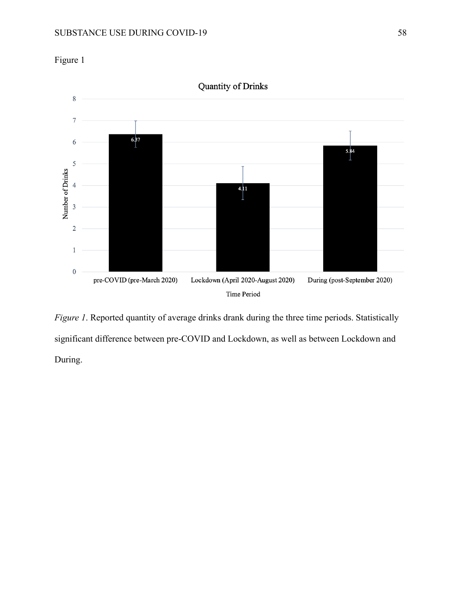

Time Period *Figure 1*. Reported quantity of average drinks drank during the three time periods. Statistically

significant difference between pre-COVID and Lockdown, as well as between Lockdown and During.

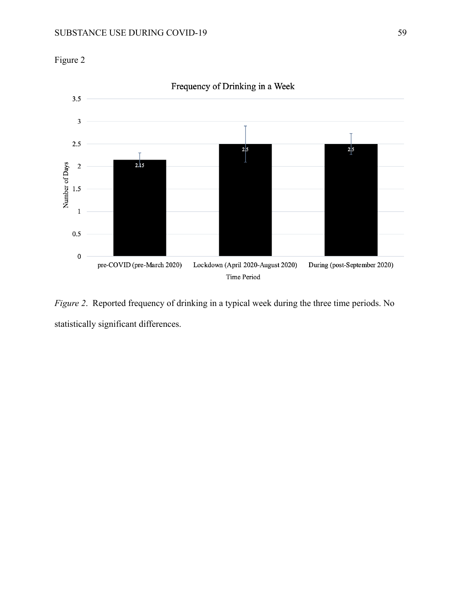



*Figure 2*. Reported frequency of drinking in a typical week during the three time periods. No statistically significant differences.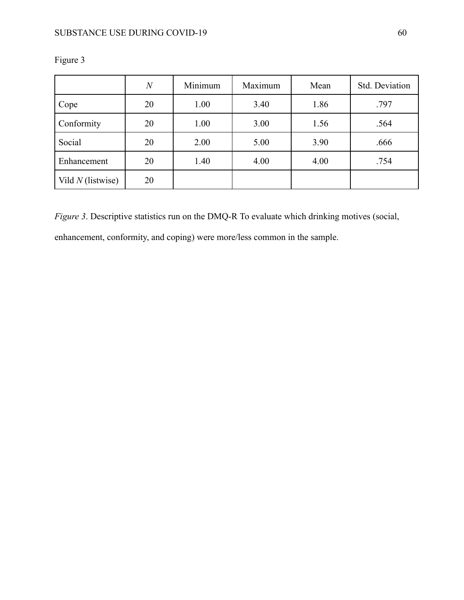|                     | $\overline{N}$ | Minimum | Maximum | Mean | Std. Deviation |  |
|---------------------|----------------|---------|---------|------|----------------|--|
| Cope                | 20             | 1.00    | 3.40    | 1.86 | .797           |  |
| Conformity          | 20             | 1.00    | 3.00    | 1.56 | .564           |  |
| Social              | 20             | 2.00    | 5.00    | 3.90 | .666           |  |
| Enhancement         | 20             | 1.40    | 4.00    | 4.00 | .754           |  |
| Vild $N$ (listwise) | 20             |         |         |      |                |  |

Figure 3

*Figure 3*. Descriptive statistics run on the DMQ-R To evaluate which drinking motives (social,

enhancement, conformity, and coping) were more/less common in the sample.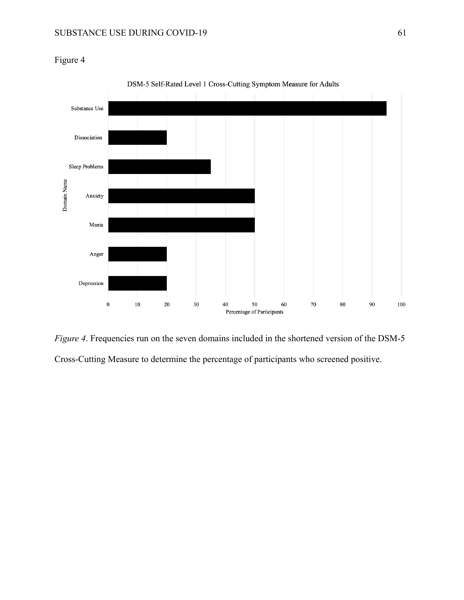Figure 4



DSM-5 Self-Rated Level 1 Cross-Cutting Symptom Measure for Adults

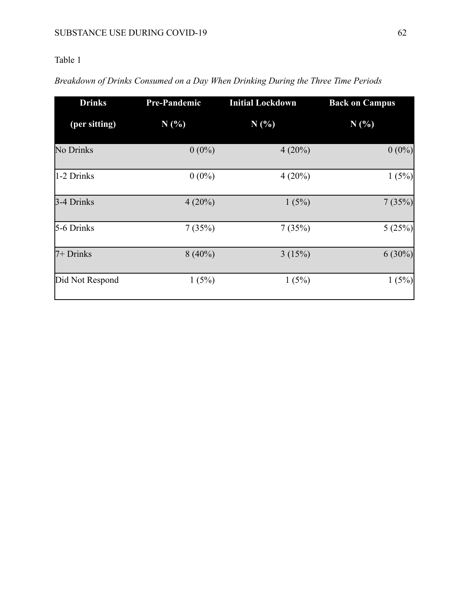## Table 1

| <b>Drinks</b><br><b>Pre-Pandemic</b> |           | <b>Initial Lockdown</b> | <b>Back on Campus</b> |  |  |
|--------------------------------------|-----------|-------------------------|-----------------------|--|--|
| (per sitting)                        | N(%)      | N(%)                    | N(%)                  |  |  |
| No Drinks                            | $0(0\%)$  | $4(20\%)$               | $0(0\%)$              |  |  |
| 1-2 Drinks                           | $0(0\%)$  | $4(20\%)$               | 1(5%)                 |  |  |
| 3-4 Drinks                           | $4(20\%)$ | 1(5%)                   | 7(35%)                |  |  |
| 5-6 Drinks                           | 7(35%)    | 7(35%)                  | 5(25%)                |  |  |
| 7+ Drinks                            | $8(40\%)$ | 3(15%)                  | $6(30\%)$             |  |  |
| Did Not Respond                      | 1(5%)     | 1(5%)                   | 1(5%)                 |  |  |

## *Breakdown of Drinks Consumed on a Day When Drinking During the Three Time Periods*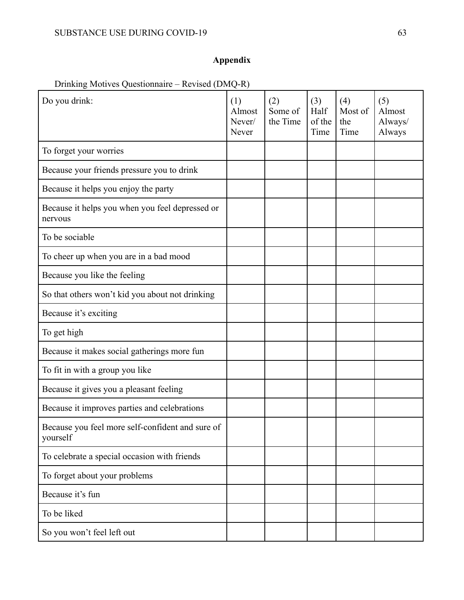# **Appendix**

# Drinking Motives Questionnaire – Revised (DMQ-R)

| Do you drink:                                                | (1)<br>Almost<br>Never/<br>Never | (2)<br>Some of<br>the Time | (3)<br>Half<br>of the<br>Time | (4)<br>Most of<br>the<br>Time | (5)<br>Almost<br>Always/<br>Always |
|--------------------------------------------------------------|----------------------------------|----------------------------|-------------------------------|-------------------------------|------------------------------------|
| To forget your worries                                       |                                  |                            |                               |                               |                                    |
| Because your friends pressure you to drink                   |                                  |                            |                               |                               |                                    |
| Because it helps you enjoy the party                         |                                  |                            |                               |                               |                                    |
| Because it helps you when you feel depressed or<br>nervous   |                                  |                            |                               |                               |                                    |
| To be sociable                                               |                                  |                            |                               |                               |                                    |
| To cheer up when you are in a bad mood                       |                                  |                            |                               |                               |                                    |
| Because you like the feeling                                 |                                  |                            |                               |                               |                                    |
| So that others won't kid you about not drinking              |                                  |                            |                               |                               |                                    |
| Because it's exciting                                        |                                  |                            |                               |                               |                                    |
| To get high                                                  |                                  |                            |                               |                               |                                    |
| Because it makes social gatherings more fun                  |                                  |                            |                               |                               |                                    |
| To fit in with a group you like                              |                                  |                            |                               |                               |                                    |
| Because it gives you a pleasant feeling                      |                                  |                            |                               |                               |                                    |
| Because it improves parties and celebrations                 |                                  |                            |                               |                               |                                    |
| Because you feel more self-confident and sure of<br>yourself |                                  |                            |                               |                               |                                    |
| To celebrate a special occasion with friends                 |                                  |                            |                               |                               |                                    |
| To forget about your problems                                |                                  |                            |                               |                               |                                    |
| Because it's fun                                             |                                  |                            |                               |                               |                                    |
| To be liked                                                  |                                  |                            |                               |                               |                                    |
| So you won't feel left out                                   |                                  |                            |                               |                               |                                    |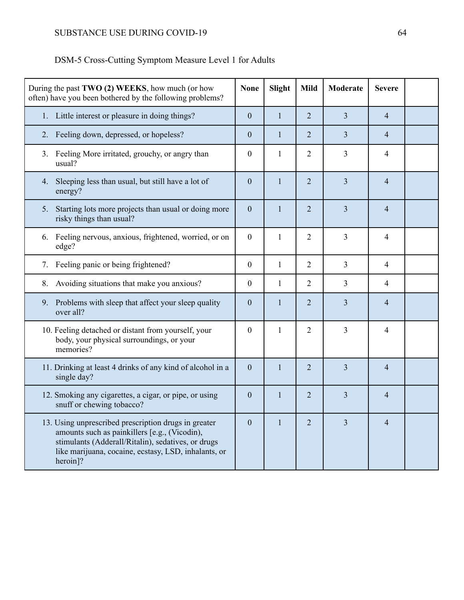| DSM-5 Cross-Cutting Symptom Measure Level 1 for Adults |
|--------------------------------------------------------|
|--------------------------------------------------------|

| During the past TWO (2) WEEKS, how much (or how<br>often) have you been bothered by the following problems?                                                                                                                     | <b>None</b>    | Slight       | <b>Mild</b>    | <b>Moderate</b> | <b>Severe</b>  |  |
|---------------------------------------------------------------------------------------------------------------------------------------------------------------------------------------------------------------------------------|----------------|--------------|----------------|-----------------|----------------|--|
| 1. Little interest or pleasure in doing things?                                                                                                                                                                                 | $\overline{0}$ | $\mathbf{1}$ | $\overline{2}$ | $\overline{3}$  | $\overline{4}$ |  |
| Feeling down, depressed, or hopeless?<br>2.                                                                                                                                                                                     | $\overline{0}$ | $\mathbf{1}$ | $\overline{2}$ | 3               | $\overline{4}$ |  |
| 3. Feeling More irritated, grouchy, or angry than<br>usual?                                                                                                                                                                     | $\mathbf{0}$   | $\mathbf{1}$ | $\overline{2}$ | 3               | 4              |  |
| 4. Sleeping less than usual, but still have a lot of<br>energy?                                                                                                                                                                 | $\mathbf{0}$   | $\mathbf{1}$ | $\overline{2}$ | 3               | $\overline{4}$ |  |
| 5. Starting lots more projects than usual or doing more<br>risky things than usual?                                                                                                                                             | $\mathbf{0}$   | $\mathbf{1}$ | $\overline{2}$ | 3               | $\overline{4}$ |  |
| Feeling nervous, anxious, frightened, worried, or on<br>6.<br>edge?                                                                                                                                                             | $\mathbf{0}$   | $\mathbf{1}$ | $\overline{2}$ | 3               | 4              |  |
| 7. Feeling panic or being frightened?                                                                                                                                                                                           | $\mathbf{0}$   | $\mathbf{1}$ | $\overline{2}$ | $\overline{3}$  | 4              |  |
| Avoiding situations that make you anxious?<br>8.                                                                                                                                                                                | $\mathbf{0}$   | $\mathbf{1}$ | $\overline{2}$ | 3               | 4              |  |
| 9. Problems with sleep that affect your sleep quality<br>over all?                                                                                                                                                              | $\overline{0}$ | $\mathbf{1}$ | $\overline{2}$ | $\overline{3}$  | $\overline{4}$ |  |
| 10. Feeling detached or distant from yourself, your<br>body, your physical surroundings, or your<br>memories?                                                                                                                   | $\mathbf{0}$   | $\mathbf{1}$ | $\overline{2}$ | 3               | $\overline{4}$ |  |
| 11. Drinking at least 4 drinks of any kind of alcohol in a<br>single day?                                                                                                                                                       | $\overline{0}$ | $\mathbf{1}$ | $\overline{2}$ | $\overline{3}$  | $\overline{4}$ |  |
| 12. Smoking any cigarettes, a cigar, or pipe, or using<br>snuff or chewing tobacco?                                                                                                                                             | $\Omega$       | $\mathbf{1}$ | $\overline{2}$ | $\overline{3}$  | $\overline{4}$ |  |
| 13. Using unprescribed prescription drugs in greater<br>amounts such as painkillers [e.g., (Vicodin),<br>stimulants (Adderall/Ritalin), sedatives, or drugs<br>like marijuana, cocaine, ecstasy, LSD, inhalants, or<br>heroin]? | $\overline{0}$ | $\mathbf{1}$ | $\overline{2}$ | $\overline{3}$  | $\overline{4}$ |  |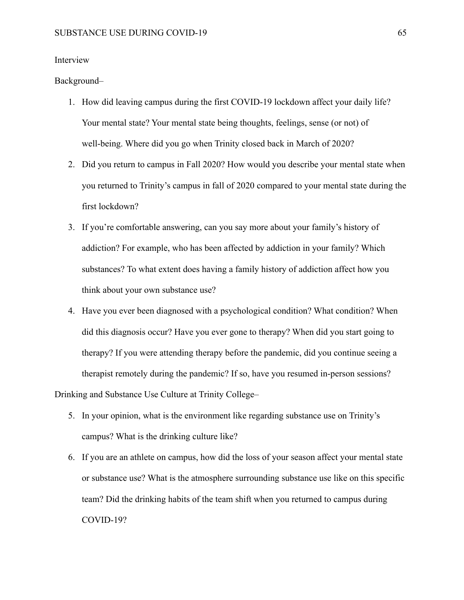### Interview

#### Background–

- 1. How did leaving campus during the first COVID-19 lockdown affect your daily life? Your mental state? Your mental state being thoughts, feelings, sense (or not) of well-being. Where did you go when Trinity closed back in March of 2020?
- 2. Did you return to campus in Fall 2020? How would you describe your mental state when you returned to Trinity's campus in fall of 2020 compared to your mental state during the first lockdown?
- 3. If you're comfortable answering, can you say more about your family's history of addiction? For example, who has been affected by addiction in your family? Which substances? To what extent does having a family history of addiction affect how you think about your own substance use?
- 4. Have you ever been diagnosed with a psychological condition? What condition? When did this diagnosis occur? Have you ever gone to therapy? When did you start going to therapy? If you were attending therapy before the pandemic, did you continue seeing a therapist remotely during the pandemic? If so, have you resumed in-person sessions? Drinking and Substance Use Culture at Trinity College–
	- 5. In your opinion, what is the environment like regarding substance use on Trinity's campus? What is the drinking culture like?
	- 6. If you are an athlete on campus, how did the loss of your season affect your mental state or substance use? What is the atmosphere surrounding substance use like on this specific team? Did the drinking habits of the team shift when you returned to campus during COVID-19?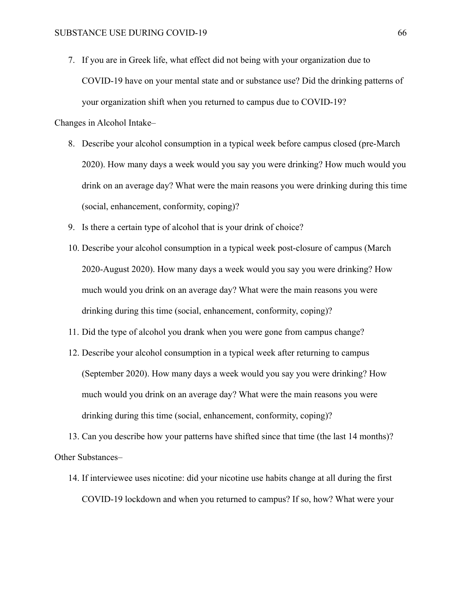7. If you are in Greek life, what effect did not being with your organization due to COVID-19 have on your mental state and or substance use? Did the drinking patterns of your organization shift when you returned to campus due to COVID-19?

Changes in Alcohol Intake–

- 8. Describe your alcohol consumption in a typical week before campus closed (pre-March 2020). How many days a week would you say you were drinking? How much would you drink on an average day? What were the main reasons you were drinking during this time (social, enhancement, conformity, coping)?
- 9. Is there a certain type of alcohol that is your drink of choice?
- 10. Describe your alcohol consumption in a typical week post-closure of campus (March 2020-August 2020). How many days a week would you say you were drinking? How much would you drink on an average day? What were the main reasons you were drinking during this time (social, enhancement, conformity, coping)?
- 11. Did the type of alcohol you drank when you were gone from campus change?
- 12. Describe your alcohol consumption in a typical week after returning to campus (September 2020). How many days a week would you say you were drinking? How much would you drink on an average day? What were the main reasons you were drinking during this time (social, enhancement, conformity, coping)?

13. Can you describe how your patterns have shifted since that time (the last 14 months)? Other Substances–

14. If interviewee uses nicotine: did your nicotine use habits change at all during the first COVID-19 lockdown and when you returned to campus? If so, how? What were your